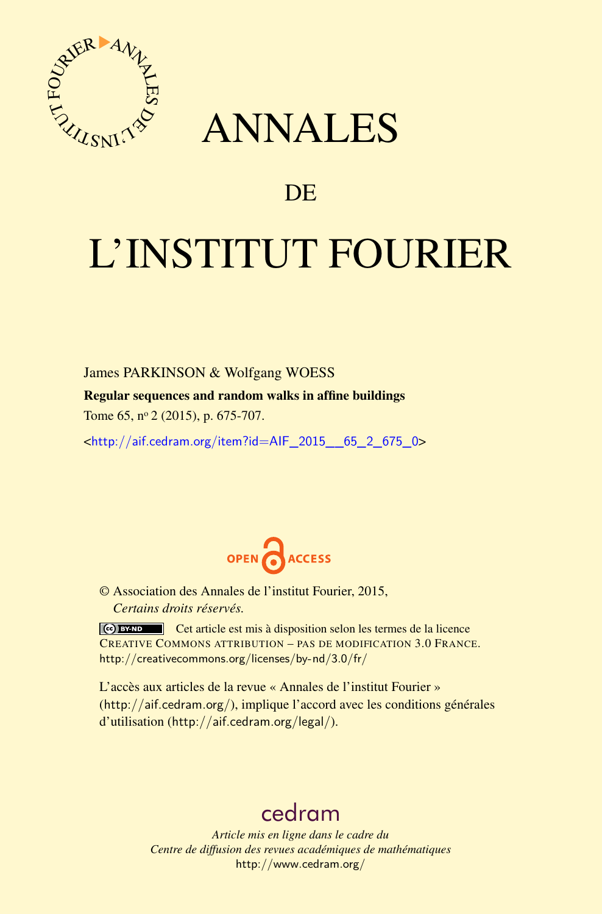

## ANNALES

### **DE**

# L'INSTITUT FOURIER

James PARKINSON & Wolfgang WOESS

Regular sequences and random walks in affine buildings

Tome 65, nº 2 (2015), p. 675-707.

<[http://aif.cedram.org/item?id=AIF\\_2015\\_\\_65\\_2\\_675\\_0](http://aif.cedram.org/item?id=AIF_2015__65_2_675_0)>



© Association des Annales de l'institut Fourier, 2015, *Certains droits réservés.*

Cet article est mis à disposition selon les termes de la licence CREATIVE COMMONS ATTRIBUTION – PAS DE MODIFICATION 3.0 FRANCE. <http://creativecommons.org/licenses/by-nd/3.0/fr/>

L'accès aux articles de la revue « Annales de l'institut Fourier » (<http://aif.cedram.org/>), implique l'accord avec les conditions générales d'utilisation (<http://aif.cedram.org/legal/>).

## [cedram](http://www.cedram.org/)

*Article mis en ligne dans le cadre du Centre de diffusion des revues académiques de mathématiques* <http://www.cedram.org/>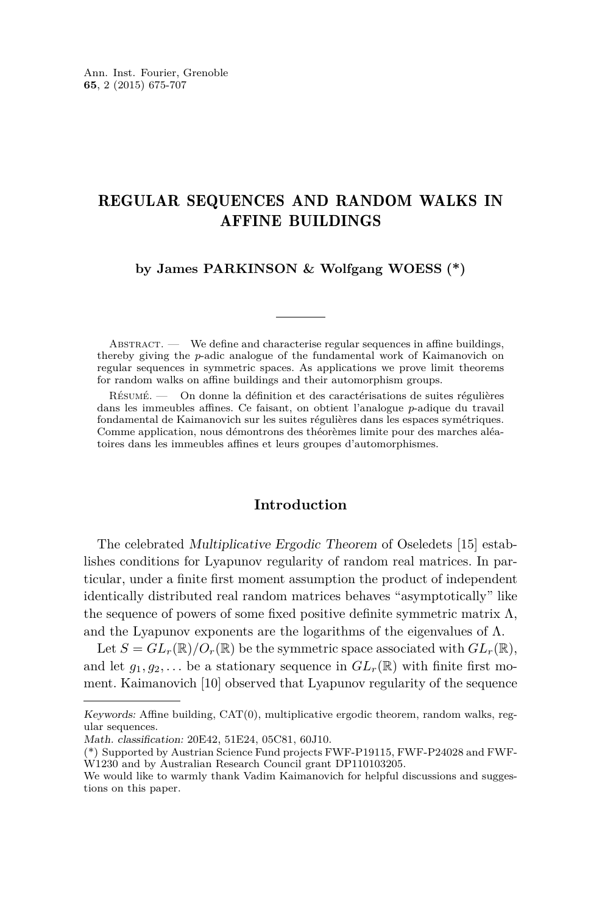#### REGULAR SEQUENCES AND RANDOM WALKS IN AFFINE BUILDINGS

**by James PARKINSON & Wolfgang WOESS (\*)**

 $ABSTRACT.$  We define and characterise regular sequences in affine buildings, thereby giving the *p*-adic analogue of the fundamental work of Kaimanovich on regular sequences in symmetric spaces. As applications we prove limit theorems for random walks on affine buildings and their automorphism groups.

Résumé. — On donne la définition et des caractérisations de suites régulières dans les immeubles affines. Ce faisant, on obtient l'analogue *p*-adique du travail fondamental de Kaimanovich sur les suites régulières dans les espaces symétriques. Comme application, nous démontrons des théorèmes limite pour des marches aléatoires dans les immeubles affines et leurs groupes d'automorphismes.

#### **Introduction**

The celebrated Multiplicative Ergodic Theorem of Oseledets [\[15\]](#page-32-0) establishes conditions for Lyapunov regularity of random real matrices. In particular, under a finite first moment assumption the product of independent identically distributed real random matrices behaves "asymptotically" like the sequence of powers of some fixed positive definite symmetric matrix  $\Lambda$ , and the Lyapunov exponents are the logarithms of the eigenvalues of  $\Lambda$ .

Let  $S = GL_r(\mathbb{R})/O_r(\mathbb{R})$  be the symmetric space associated with  $GL_r(\mathbb{R})$ , and let  $g_1, g_2, \ldots$  be a stationary sequence in  $GL_r(\mathbb{R})$  with finite first moment. Kaimanovich [\[10\]](#page-32-0) observed that Lyapunov regularity of the sequence

Keywords: Affine building, CAT(0), multiplicative ergodic theorem, random walks, regular sequences.

Math. classification: 20E42, 51E24, 05C81, 60J10.

<sup>(\*)</sup> Supported by Austrian Science Fund projects FWF-P19115, FWF-P24028 and FWF-W1230 and by Australian Research Council grant DP110103205.

We would like to warmly thank Vadim Kaimanovich for helpful discussions and suggestions on this paper.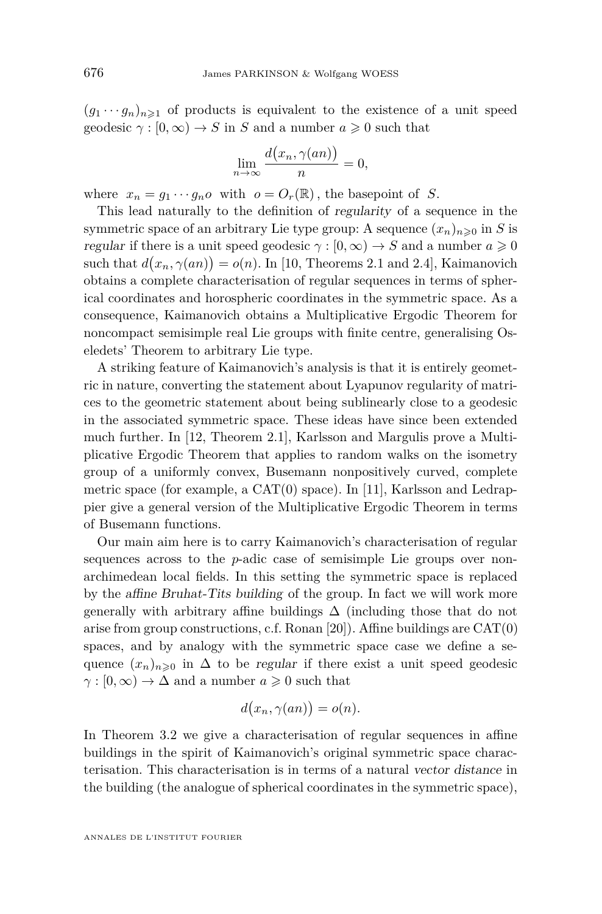$(g_1 \cdots g_n)_{n \geq 1}$  of products is equivalent to the existence of a unit speed geodesic  $\gamma : [0, \infty) \to S$  in *S* and a number  $a \ge 0$  such that

$$
\lim_{n \to \infty} \frac{d(x_n, \gamma(an))}{n} = 0,
$$

where  $x_n = g_1 \cdots g_n o$  with  $o = O_r(\mathbb{R})$ , the basepoint of *S*.

This lead naturally to the definition of regularity of a sequence in the symmetric space of an arbitrary Lie type group: A sequence  $(x_n)_{n\geqslant 0}$  in *S* is regular if there is a unit speed geodesic  $\gamma : [0, \infty) \to S$  and a number  $a \geq 0$ such that  $d(x_n, \gamma(an)) = o(n)$ . In [\[10,](#page-32-0) Theorems 2.1 and 2.4], Kaimanovich obtains a complete characterisation of regular sequences in terms of spherical coordinates and horospheric coordinates in the symmetric space. As a consequence, Kaimanovich obtains a Multiplicative Ergodic Theorem for noncompact semisimple real Lie groups with finite centre, generalising Oseledets' Theorem to arbitrary Lie type.

A striking feature of Kaimanovich's analysis is that it is entirely geometric in nature, converting the statement about Lyapunov regularity of matrices to the geometric statement about being sublinearly close to a geodesic in the associated symmetric space. These ideas have since been extended much further. In [\[12,](#page-32-0) Theorem 2.1], Karlsson and Margulis prove a Multiplicative Ergodic Theorem that applies to random walks on the isometry group of a uniformly convex, Busemann nonpositively curved, complete metric space (for example, a  $CAT(0)$  space). In [\[11\]](#page-32-0), Karlsson and Ledrappier give a general version of the Multiplicative Ergodic Theorem in terms of Busemann functions.

Our main aim here is to carry Kaimanovich's characterisation of regular sequences across to the *p*-adic case of semisimple Lie groups over nonarchimedean local fields. In this setting the symmetric space is replaced by the affine Bruhat-Tits building of the group. In fact we will work more generally with arbitrary affine buildings  $\Delta$  (including those that do not arise from group constructions, c.f. Ronan [\[20\]](#page-32-0)). Affine buildings are CAT(0) spaces, and by analogy with the symmetric space case we define a sequence  $(x_n)_{n\geq 0}$  in  $\Delta$  to be regular if there exist a unit speed geodesic  $\gamma$  :  $[0, \infty) \to \Delta$  and a number  $a \ge 0$  such that

$$
d(x_n, \gamma(an)) = o(n).
$$

In Theorem [3.2](#page-15-0) we give a characterisation of regular sequences in affine buildings in the spirit of Kaimanovich's original symmetric space characterisation. This characterisation is in terms of a natural vector distance in the building (the analogue of spherical coordinates in the symmetric space),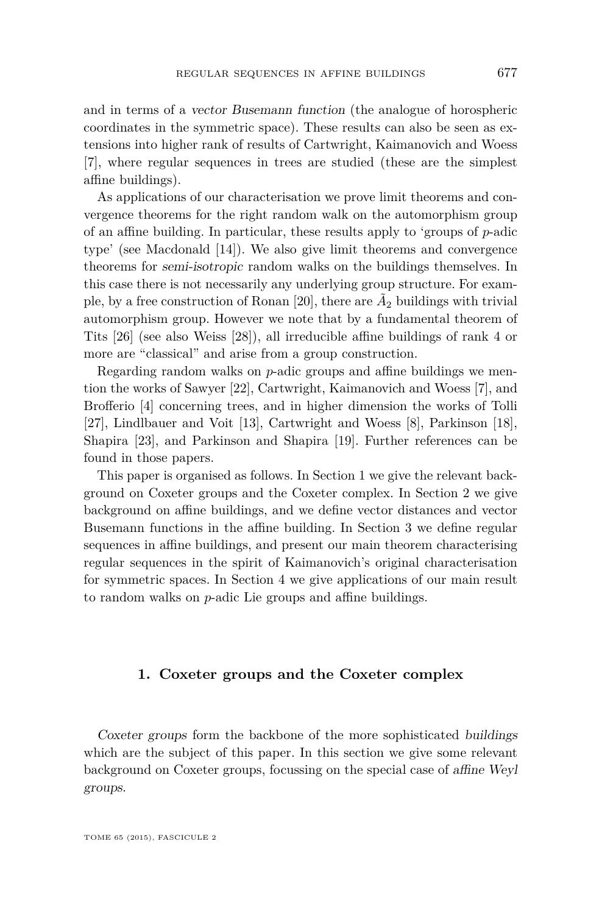and in terms of a vector Busemann function (the analogue of horospheric coordinates in the symmetric space). These results can also be seen as extensions into higher rank of results of Cartwright, Kaimanovich and Woess [\[7\]](#page-32-0), where regular sequences in trees are studied (these are the simplest affine buildings).

As applications of our characterisation we prove limit theorems and convergence theorems for the right random walk on the automorphism group of an affine building. In particular, these results apply to 'groups of *p*-adic type' (see Macdonald [\[14\]](#page-32-0)). We also give limit theorems and convergence theorems for semi-isotropic random walks on the buildings themselves. In this case there is not necessarily any underlying group structure. For exam-ple, by a free construction of Ronan [\[20\]](#page-32-0), there are  $\tilde{A}_2$  buildings with trivial automorphism group. However we note that by a fundamental theorem of Tits [\[26\]](#page-33-0) (see also Weiss [\[28\]](#page-33-0)), all irreducible affine buildings of rank 4 or more are "classical" and arise from a group construction.

Regarding random walks on *p*-adic groups and affine buildings we mention the works of Sawyer [\[22\]](#page-32-0), Cartwright, Kaimanovich and Woess [\[7\]](#page-32-0), and Brofferio [\[4\]](#page-32-0) concerning trees, and in higher dimension the works of Tolli [\[27\]](#page-33-0), Lindlbauer and Voit [\[13\]](#page-32-0), Cartwright and Woess [\[8\]](#page-32-0), Parkinson [\[18\]](#page-32-0), Shapira [\[23\]](#page-32-0), and Parkinson and Shapira [\[19\]](#page-32-0). Further references can be found in those papers.

This paper is organised as follows. In Section 1 we give the relevant background on Coxeter groups and the Coxeter complex. In Section [2](#page-7-0) we give background on affine buildings, and we define vector distances and vector Busemann functions in the affine building. In Section [3](#page-14-0) we define regular sequences in affine buildings, and present our main theorem characterising regular sequences in the spirit of Kaimanovich's original characterisation for symmetric spaces. In Section [4](#page-21-0) we give applications of our main result to random walks on *p*-adic Lie groups and affine buildings.

#### **1. Coxeter groups and the Coxeter complex**

Coxeter groups form the backbone of the more sophisticated buildings which are the subject of this paper. In this section we give some relevant background on Coxeter groups, focussing on the special case of affine Weyl groups.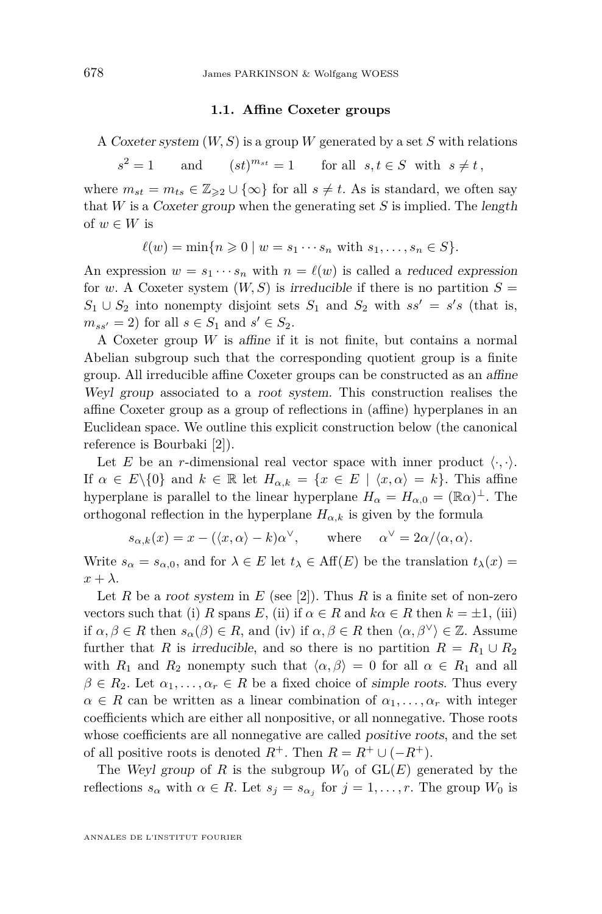#### **1.1. Affine Coxeter groups**

<span id="page-4-0"></span>A Coxeter system (*W, S*) is a group *W* generated by a set *S* with relations

 $s^2 = 1$  $2^2 = 1$  and  $(st)^{m_{st}} = 1$  for all  $s, t \in S$  with  $s \neq t$ ,

where  $m_{st} = m_{ts} \in \mathbb{Z}_{\geq 2} \cup \{\infty\}$  for all  $s \neq t$ . As is standard, we often say that *W* is a Coxeter group when the generating set *S* is implied. The length of  $w \in W$  is

$$
\ell(w) = \min\{n \geq 0 \mid w = s_1 \cdots s_n \text{ with } s_1, \ldots, s_n \in S\}.
$$

An expression  $w = s_1 \cdots s_n$  with  $n = \ell(w)$  is called a *reduced expression* for *w*. A Coxeter system  $(W, S)$  is irreducible if there is no partition  $S =$  $S_1 \cup S_2$  into nonempty disjoint sets  $S_1$  and  $S_2$  with  $ss' = s's$  (that is,  $m_{ss'} = 2$ ) for all  $s \in S_1$  and  $s' \in S_2$ .

A Coxeter group *W* is affine if it is not finite, but contains a normal Abelian subgroup such that the corresponding quotient group is a finite group. All irreducible affine Coxeter groups can be constructed as an affine Weyl group associated to a root system. This construction realises the affine Coxeter group as a group of reflections in (affine) hyperplanes in an Euclidean space. We outline this explicit construction below (the canonical reference is Bourbaki [\[2\]](#page-31-0)).

Let *E* be an *r*-dimensional real vector space with inner product  $\langle \cdot, \cdot \rangle$ . If  $\alpha \in E \setminus \{0\}$  and  $k \in \mathbb{R}$  let  $H_{\alpha,k} = \{x \in E \mid \langle x, \alpha \rangle = k\}$ . This affine hyperplane is parallel to the linear hyperplane  $H_{\alpha} = H_{\alpha,0} = (\mathbb{R}\alpha)^{\perp}$ . The orthogonal reflection in the hyperplane  $H_{\alpha,k}$  is given by the formula

$$
s_{\alpha,k}(x) = x - (\langle x, \alpha \rangle - k)\alpha^{\vee}
$$
, where  $\alpha^{\vee} = 2\alpha/\langle \alpha, \alpha \rangle$ .

Write  $s_{\alpha} = s_{\alpha,0}$ , and for  $\lambda \in E$  let  $t_{\lambda} \in Aff(E)$  be the translation  $t_{\lambda}(x) =$  $x + \lambda$ .

Let *R* be a root system in *E* (see [\[2\]](#page-31-0)). Thus *R* is a finite set of non-zero vectors such that (i) *R* spans *E*, (ii) if  $\alpha \in R$  and  $k\alpha \in R$  then  $k = \pm 1$ , (iii) if  $\alpha, \beta \in R$  then  $s_{\alpha}(\beta) \in R$ , and (iv) if  $\alpha, \beta \in R$  then  $\langle \alpha, \beta^{\vee} \rangle \in \mathbb{Z}$ . Assume further that *R* is irreducible, and so there is no partition  $R = R_1 \cup R_2$ with  $R_1$  and  $R_2$  nonempty such that  $\langle \alpha, \beta \rangle = 0$  for all  $\alpha \in R_1$  and all  $\beta \in R_2$ . Let  $\alpha_1, \ldots, \alpha_r \in R$  be a fixed choice of simple roots. Thus every  $\alpha \in R$  can be written as a linear combination of  $\alpha_1, \ldots, \alpha_r$  with integer coefficients which are either all nonpositive, or all nonnegative. Those roots whose coefficients are all nonnegative are called positive roots, and the set of all positive roots is denoted  $R^+$ . Then  $R = R^+ \cup (-R^+)$ .

The Weyl group of *R* is the subgroup  $W_0$  of  $GL(E)$  generated by the reflections  $s_{\alpha}$  with  $\alpha \in R$ . Let  $s_j = s_{\alpha_j}$  for  $j = 1, \ldots, r$ . The group  $W_0$  is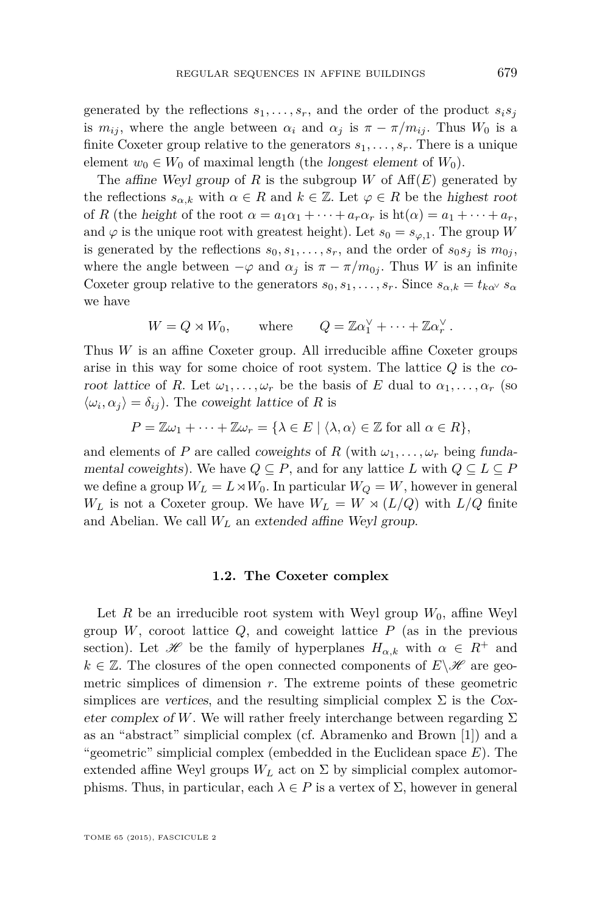generated by the reflections  $s_1, \ldots, s_r$ , and the order of the product  $s_i s_j$ is  $m_{ij}$ , where the angle between  $\alpha_i$  and  $\alpha_j$  is  $\pi - \pi/m_{ij}$ . Thus  $W_0$  is a finite Coxeter group relative to the generators  $s_1, \ldots, s_r$ . There is a unique element  $w_0 \in W_0$  of maximal length (the *longest element* of  $W_0$ ).

The affine Weyl group of *R* is the subgroup *W* of  $Aff(E)$  generated by the reflections  $s_{\alpha,k}$  with  $\alpha \in R$  and  $k \in \mathbb{Z}$ . Let  $\varphi \in R$  be the highest root of *R* (the height of the root  $\alpha = a_1\alpha_1 + \cdots + a_r\alpha_r$  is  $\text{ht}(\alpha) = a_1 + \cdots + a_r$ , and  $\varphi$  is the unique root with greatest height). Let  $s_0 = s_{\varphi,1}$ . The group *W* is generated by the reflections  $s_0, s_1, \ldots, s_r$ , and the order of  $s_0 s_j$  is  $m_{0j}$ , where the angle between  $-\varphi$  and  $\alpha_j$  is  $\pi - \pi/m_{0j}$ . Thus *W* is an infinite Coxeter group relative to the generators  $s_0, s_1, \ldots, s_r$ . Since  $s_{\alpha,k} = t_{k\alpha} \cdot s_{\alpha}$ we have

$$
W = Q \rtimes W_0, \quad \text{where} \quad Q = \mathbb{Z}\alpha_1^{\vee} + \cdots + \mathbb{Z}\alpha_r^{\vee}.
$$

Thus *W* is an affine Coxeter group. All irreducible affine Coxeter groups arise in this way for some choice of root system. The lattice *Q* is the coroot lattice of *R*. Let  $\omega_1, \ldots, \omega_r$  be the basis of *E* dual to  $\alpha_1, \ldots, \alpha_r$  (so  $\langle \omega_i, \alpha_j \rangle = \delta_{ij}$ . The coweight lattice of *R* is

$$
P = \mathbb{Z}\omega_1 + \cdots + \mathbb{Z}\omega_r = \{\lambda \in E \mid \langle \lambda, \alpha \rangle \in \mathbb{Z} \text{ for all } \alpha \in R\},\
$$

and elements of *P* are called *coweights* of *R* (with  $\omega_1, \ldots, \omega_r$  being fundamental coweights). We have  $Q \subseteq P$ , and for any lattice  $L$  with  $Q \subseteq L \subseteq P$ we define a group  $W_L = L \rtimes W_0$ . In particular  $W_Q = W$ , however in general  $W_L$  is not a Coxeter group. We have  $W_L = W \rtimes (L/Q)$  with  $L/Q$  finite and Abelian. We call *W<sup>L</sup>* an extended affine Weyl group.

#### **1.2. The Coxeter complex**

Let *R* be an irreducible root system with Weyl group  $W_0$ , affine Weyl group  $W$ , coroot lattice  $Q$ , and coweight lattice  $P$  (as in the previous section). Let  $\mathscr H$  be the family of hyperplanes  $H_{\alpha,k}$  with  $\alpha \in R^+$  and  $k \in \mathbb{Z}$ . The closures of the open connected components of  $E \setminus \mathcal{H}$  are geometric simplices of dimension *r*. The extreme points of these geometric simplices are vertices, and the resulting simplicial complex  $\Sigma$  is the Coxeter complex of *W*. We will rather freely interchange between regarding  $\Sigma$ as an "abstract" simplicial complex (cf. Abramenko and Brown [\[1\]](#page-31-0)) and a "geometric" simplicial complex (embedded in the Euclidean space *E*). The extended affine Weyl groups  $W_L$  act on  $\Sigma$  by simplicial complex automorphisms. Thus, in particular, each  $\lambda \in P$  is a vertex of  $\Sigma$ , however in general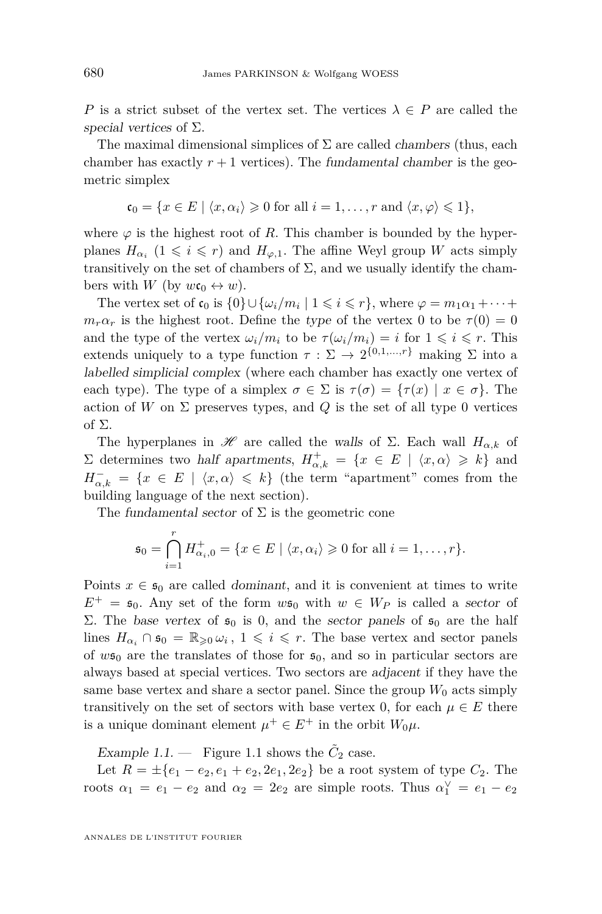*P* is a strict subset of the vertex set. The vertices  $\lambda \in P$  are called the special vertices of  $\Sigma$ .

The maximal dimensional simplices of  $\Sigma$  are called *chambers* (thus, each chamber has exactly  $r + 1$  vertices). The fundamental chamber is the geometric simplex

$$
\mathfrak{c}_0 = \{ x \in E \mid \langle x, \alpha_i \rangle \geq 0 \text{ for all } i = 1, \dots, r \text{ and } \langle x, \varphi \rangle \leq 1 \},
$$

where  $\varphi$  is the highest root of *R*. This chamber is bounded by the hyperplanes  $H_{\alpha_i}$  (1  $\leqslant i \leqslant r$ ) and  $H_{\varphi,1}$ . The affine Weyl group *W* acts simply transitively on the set of chambers of  $\Sigma$ , and we usually identify the chambers with *W* (by  $w \mathfrak{c}_0 \leftrightarrow w$ ).

The vertex set of  $\mathfrak{c}_0$  is  $\{0\} \cup \{\omega_i/m_i \mid 1 \leq i \leq r\}$ , where  $\varphi = m_1 \alpha_1 + \cdots$  $m_r \alpha_r$  is the highest root. Define the type of the vertex 0 to be  $\tau(0) = 0$ and the type of the vertex  $\omega_i/m_i$  to be  $\tau(\omega_i/m_i) = i$  for  $1 \leq i \leq r$ . This extends uniquely to a type function  $\tau : \Sigma \to 2^{\{0,1,\ldots,r\}}$  making  $\Sigma$  into a labelled simplicial complex (where each chamber has exactly one vertex of each type). The type of a simplex  $\sigma \in \Sigma$  is  $\tau(\sigma) = {\tau(x) \mid x \in \sigma}$ . The action of *W* on  $\Sigma$  preserves types, and *Q* is the set of all type 0 vertices of Σ.

The hyperplanes in  $\mathcal{H}$  are called the walls of  $\Sigma$ . Each wall  $H_{\alpha,k}$  of  $\Sigma$  determines two half apartments,  $H^+_{\alpha,k} = \{x \in E \mid \langle x, \alpha \rangle \geq k\}$  and  $H_{\alpha,k}^- = \{x \in E \mid \langle x, \alpha \rangle \leq k\}$  (the term "apartment" comes from the building language of the next section).

The fundamental sector of  $\Sigma$  is the geometric cone

$$
\mathfrak{s}_0 = \bigcap_{i=1}^r H_{\alpha_i,0}^+ = \{ x \in E \mid \langle x, \alpha_i \rangle \geq 0 \text{ for all } i = 1,\ldots,r \}.
$$

Points  $x \in \mathfrak{s}_0$  are called *dominant*, and it is convenient at times to write  $E^+ = \mathfrak{s}_0$ . Any set of the form  $w\mathfrak{s}_0$  with  $w \in W_P$  is called a sector of Σ. The base vertex of  $\mathfrak{s}_0$  is 0, and the sector panels of  $\mathfrak{s}_0$  are the half lines  $H_{\alpha_i} \cap \mathfrak{s}_0 = \mathbb{R}_{\geqslant 0} \omega_i$ ,  $1 \leqslant i \leqslant r$ . The base vertex and sector panels of  $w\mathfrak{s}_0$  are the translates of those for  $\mathfrak{s}_0$ , and so in particular sectors are always based at special vertices. Two sectors are adjacent if they have the same base vertex and share a sector panel. Since the group  $W_0$  acts simply transitively on the set of sectors with base vertex 0, for each  $\mu \in E$  there is a unique dominant element  $\mu^+ \in E^+$  in the orbit  $W_0 \mu$ .

Example [1.1](#page-7-0). — Figure 1.1 shows the  $\tilde{C}_2$  case.

Let  $R = \pm \{e_1 - e_2, e_1 + e_2, 2e_1, 2e_2\}$  be a root system of type  $C_2$ . The roots  $\alpha_1 = e_1 - e_2$  and  $\alpha_2 = 2e_2$  are simple roots. Thus  $\alpha_1^{\vee} = e_1 - e_2$ 

ANNALES DE L'INSTITUT FOURIER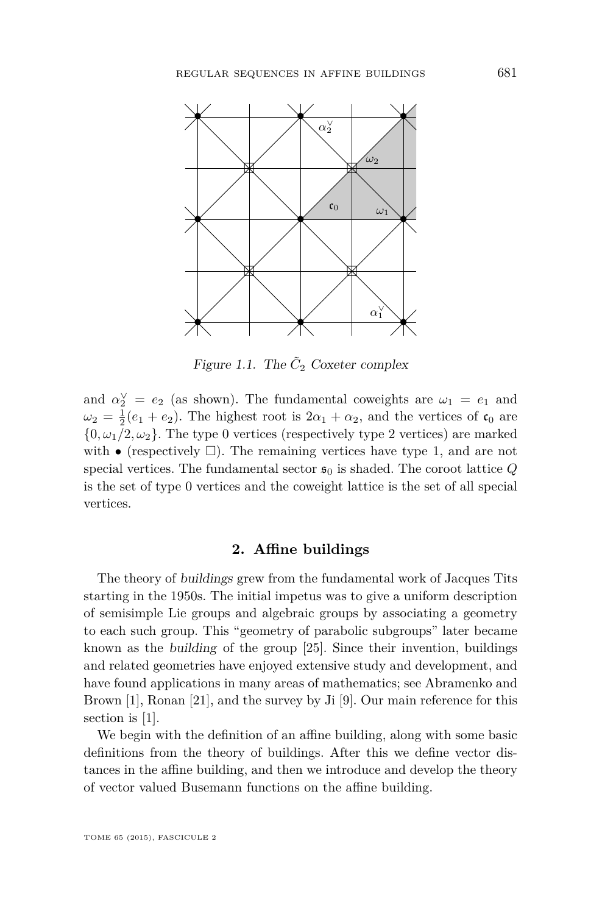<span id="page-7-0"></span>

Figure 1.1. The  $\tilde{C}_2$  Coxeter complex

and  $\alpha_2^{\vee} = e_2$  (as shown). The fundamental coweights are  $\omega_1 = e_1$  and  $\omega_2 = \frac{1}{2}(e_1 + e_2)$ . The highest root is  $2\alpha_1 + \alpha_2$ , and the vertices of  $\mathfrak{c}_0$  are  $\{0, \omega_1/2, \omega_2\}$ . The type 0 vertices (respectively type 2 vertices) are marked with  $\bullet$  (respectively  $\square$ ). The remaining vertices have type 1, and are not special vertices. The fundamental sector  $\mathfrak{s}_0$  is shaded. The coroot lattice *Q* is the set of type 0 vertices and the coweight lattice is the set of all special vertices.

#### **2. Affine buildings**

The theory of buildings grew from the fundamental work of Jacques Tits starting in the 1950s. The initial impetus was to give a uniform description of semisimple Lie groups and algebraic groups by associating a geometry to each such group. This "geometry of parabolic subgroups" later became known as the building of the group [\[25\]](#page-32-0). Since their invention, buildings and related geometries have enjoyed extensive study and development, and have found applications in many areas of mathematics; see Abramenko and Brown [\[1\]](#page-31-0), Ronan [\[21\]](#page-32-0), and the survey by Ji [\[9\]](#page-32-0). Our main reference for this section is [\[1\]](#page-31-0).

We begin with the definition of an affine building, along with some basic definitions from the theory of buildings. After this we define vector distances in the affine building, and then we introduce and develop the theory of vector valued Busemann functions on the affine building.

TOME 65 (2015), FASCICULE 2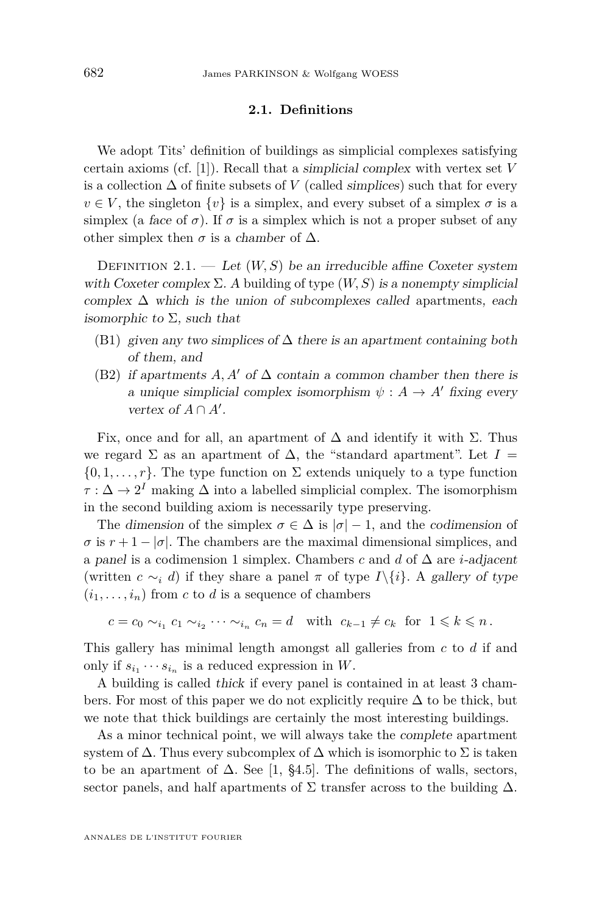#### **2.1. Definitions**

We adopt Tits' definition of buildings as simplicial complexes satisfying certain axioms (cf. [\[1\]](#page-31-0)). Recall that a simplicial complex with vertex set *V* is a collection  $\Delta$  of finite subsets of *V* (called *simplices*) such that for every  $v \in V$ , the singleton  $\{v\}$  is a simplex, and every subset of a simplex  $\sigma$  is a simplex (a face of  $\sigma$ ). If  $\sigma$  is a simplex which is not a proper subset of any other simplex then  $\sigma$  is a chamber of  $\Delta$ .

DEFINITION 2.1. — Let  $(W, S)$  be an irreducible affine Coxeter system with Coxeter complex  $\Sigma$ . A building of type  $(W, S)$  is a nonempty simplicial complex  $\Delta$  which is the union of subcomplexes called apartments, each isomorphic to  $\Sigma$ , such that

- (B1) given any two simplices of  $\Delta$  there is an apartment containing both of them, and
- (B2) if apartments  $A, A'$  of  $\Delta$  contain a common chamber then there is a unique simplicial complex isomorphism  $\psi : A \rightarrow A'$  fixing every vertex of  $A \cap A'$ .

Fix, once and for all, an apartment of  $\Delta$  and identify it with  $\Sigma$ . Thus we regard  $\Sigma$  as an apartment of  $\Delta$ , the "standard apartment". Let  $I =$  $\{0, 1, \ldots, r\}$ . The type function on  $\Sigma$  extends uniquely to a type function  $\tau : \Delta \to 2^I$  making  $\Delta$  into a labelled simplicial complex. The isomorphism in the second building axiom is necessarily type preserving.

The dimension of the simplex  $\sigma \in \Delta$  is  $|\sigma| - 1$ , and the codimension of  $\sigma$  is  $r + 1 - |\sigma|$ . The chambers are the maximal dimensional simplices, and a panel is a codimension 1 simplex. Chambers *c* and *d* of ∆ are *i*-adjacent (written  $c \sim_i d$ ) if they share a panel  $\pi$  of type *I*\{*i*}. A gallery of type  $(i_1, \ldots, i_n)$  from *c* to *d* is a sequence of chambers

$$
c = c_0 \sim_{i_1} c_1 \sim_{i_2} \cdots \sim_{i_n} c_n = d \quad \text{with} \ \ c_{k-1} \neq c_k \ \text{ for } \ 1 \leq k \leq n \, .
$$

This gallery has minimal length amongst all galleries from *c* to *d* if and only if  $s_{i_1} \cdots s_{i_n}$  is a reduced expression in *W*.

A building is called thick if every panel is contained in at least 3 chambers. For most of this paper we do not explicitly require  $\Delta$  to be thick, but we note that thick buildings are certainly the most interesting buildings.

As a minor technical point, we will always take the complete apartment system of  $\Delta$ . Thus every subcomplex of  $\Delta$  which is isomorphic to  $\Sigma$  is taken to be an apartment of  $\Delta$ . See [\[1,](#page-31-0) §4.5]. The definitions of walls, sectors, sector panels, and half apartments of  $\Sigma$  transfer across to the building  $\Delta$ .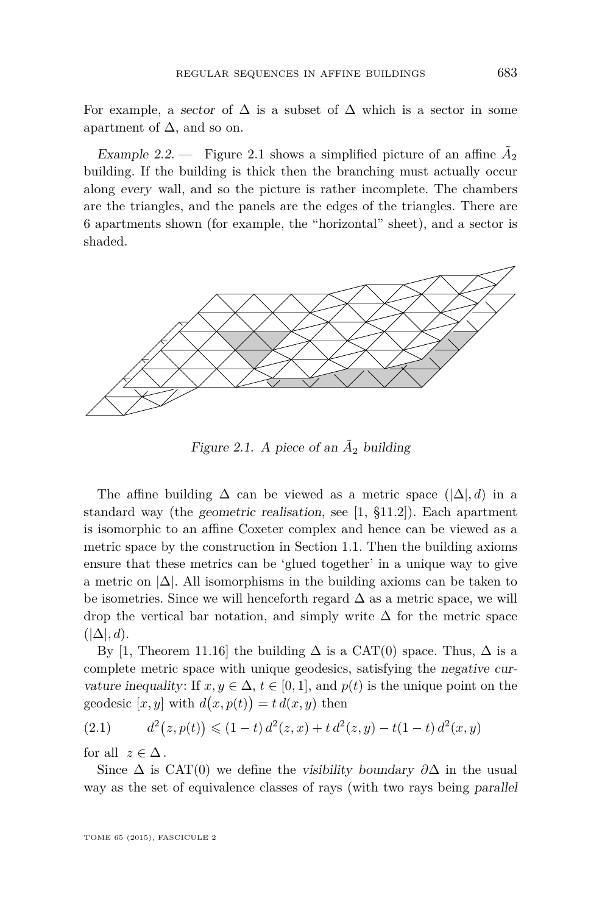<span id="page-9-0"></span>For example, a sector of  $\Delta$  is a subset of  $\Delta$  which is a sector in some apartment of  $\Delta$ , and so on.

Example 2.2.  $\qquad$  Figure 2.1 shows a simplified picture of an affine  $\tilde{A}_2$ building. If the building is thick then the branching must actually occur along every wall, and so the picture is rather incomplete. The chambers are the triangles, and the panels are the edges of the triangles. There are 6 apartments shown (for example, the "horizontal" sheet), and a sector is shaded.



Figure 2.1. A piece of an  $A_2$  building

The affine building  $\Delta$  can be viewed as a metric space  $(|\Delta|, d)$  in a standard way (the geometric realisation, see [\[1,](#page-31-0) §11.2]). Each apartment is isomorphic to an affine Coxeter complex and hence can be viewed as a metric space by the construction in Section [1.1.](#page-4-0) Then the building axioms ensure that these metrics can be 'glued together' in a unique way to give a metric on  $|\Delta|$ . All isomorphisms in the building axioms can be taken to be isometries. Since we will henceforth regard  $\Delta$  as a metric space, we will drop the vertical bar notation, and simply write  $\Delta$  for the metric space  $(|\Delta|, d)$ .

By [\[1,](#page-31-0) Theorem 11.16] the building  $\Delta$  is a CAT(0) space. Thus,  $\Delta$  is a complete metric space with unique geodesics, satisfying the negative curvature inequality: If  $x, y \in \Delta$ ,  $t \in [0, 1]$ , and  $p(t)$  is the unique point on the geodesic  $[x, y]$  with  $d(x, p(t)) = t d(x, y)$  then

(2.1) 
$$
d^{2}(z, p(t)) \leq (1-t) d^{2}(z, x) + t d^{2}(z, y) - t(1-t) d^{2}(x, y)
$$

for all  $z \in \Delta$ .

Since  $\Delta$  is CAT(0) we define the visibility boundary  $\partial \Delta$  in the usual way as the set of equivalence classes of rays (with two rays being parallel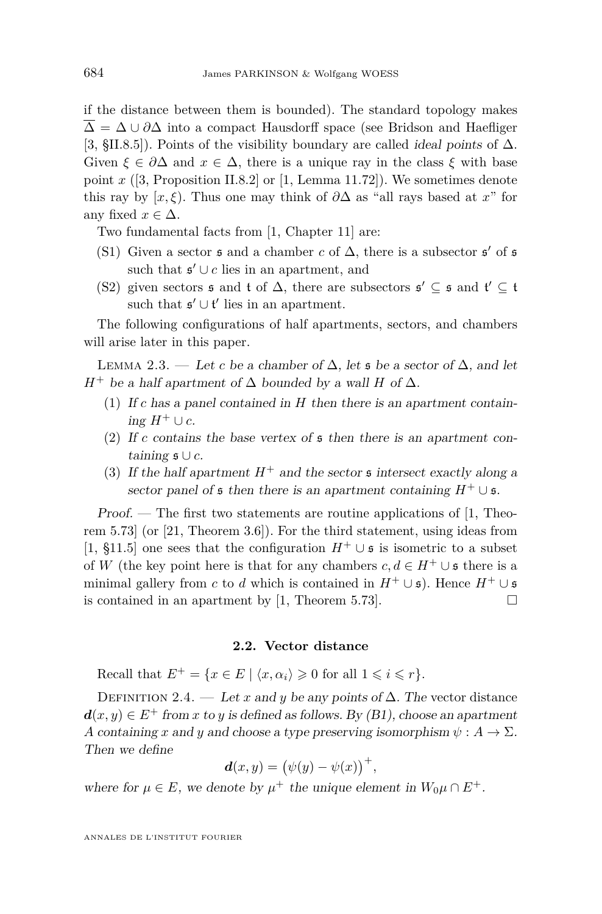<span id="page-10-0"></span>if the distance between them is bounded). The standard topology makes  $\overline{\Delta} = \Delta \cup \partial \Delta$  into a compact Hausdorff space (see Bridson and Haefliger [\[3,](#page-31-0) §II.8.5]). Points of the visibility boundary are called ideal points of ∆. Given  $\xi \in \partial \Delta$  and  $x \in \Delta$ , there is a unique ray in the class  $\xi$  with base point  $x$  ([\[3,](#page-31-0) Proposition II.8.2] or [\[1,](#page-31-0) Lemma 11.72]). We sometimes denote this ray by [x,  $\xi$ ). Thus one may think of  $\partial \Delta$  as "all rays based at x" for any fixed  $x \in \Delta$ .

Two fundamental facts from [\[1,](#page-31-0) Chapter 11] are:

- (S1) Given a sector  $\mathfrak s$  and a chamber *c* of  $\Delta$ , there is a subsector  $\mathfrak s'$  of  $\mathfrak s$ such that  $\mathfrak{s}' \cup c$  lies in an apartment, and
- (S2) given sectors  $\mathfrak{s}$  and  $\mathfrak{t}$  of  $\Delta$ , there are subsectors  $\mathfrak{s}' \subseteq \mathfrak{s}$  and  $\mathfrak{t}' \subseteq \mathfrak{t}$ such that  $\mathfrak{s}' \cup \mathfrak{t}'$  lies in an apartment.

The following configurations of half apartments, sectors, and chambers will arise later in this paper.

LEMMA 2.3. — Let *c* be a chamber of  $\Delta$ , let **s** be a sector of  $\Delta$ , and let *H*<sup>+</sup> be a half apartment of  $\Delta$  bounded by a wall *H* of  $\Delta$ .

- (1) If *c* has a panel contained in *H* then there is an apartment contain*ing*  $H$ <sup>+</sup> ∪  $c$ .
- (2) If *c* contains the base vertex of s then there is an apartment containing s ∪ *c*.
- (3) If the half apartment  $H^+$  and the sector  $\mathfrak s$  intersect exactly along a sector panel of  $\mathfrak s$  then there is an apartment containing  $H^+ \cup \mathfrak s$ .

Proof. — The first two statements are routine applications of [\[1,](#page-31-0) Theorem 5.73] (or [\[21,](#page-32-0) Theorem 3.6]). For the third statement, using ideas from [\[1,](#page-31-0) §11.5] one sees that the configuration  $H^+ \cup \mathfrak{s}$  is isometric to a subset of *W* (the key point here is that for any chambers  $c, d \in H^+ \cup \mathfrak{s}$  there is a minimal gallery from *c* to *d* which is contained in  $H^+ \cup \mathfrak{s}$ . Hence  $H^+ \cup \mathfrak{s}$ is contained in an apartment by [\[1,](#page-31-0) Theorem 5.73].  $\Box$ 

#### **2.2. Vector distance**

Recall that  $E^+ = \{x \in E \mid \langle x, \alpha_i \rangle \geq 0 \text{ for all } 1 \leq i \leq r\}.$ 

DEFINITION 2.4. — Let *x* and *y* be any points of  $\Delta$ . The vector distance  $d(x, y) \in E^+$  from *x* to *y* is defined as follows. By (B1), choose an apartment *A* containing *x* and *y* and choose a type preserving isomorphism  $\psi : A \to \Sigma$ . Then we define

$$
\boldsymbol{d}(x,y) = \big(\psi(y) - \psi(x)\big)^+,
$$

where for  $\mu \in E$ , we denote by  $\mu^+$  the unique element in  $W_0\mu \cap E^+$ .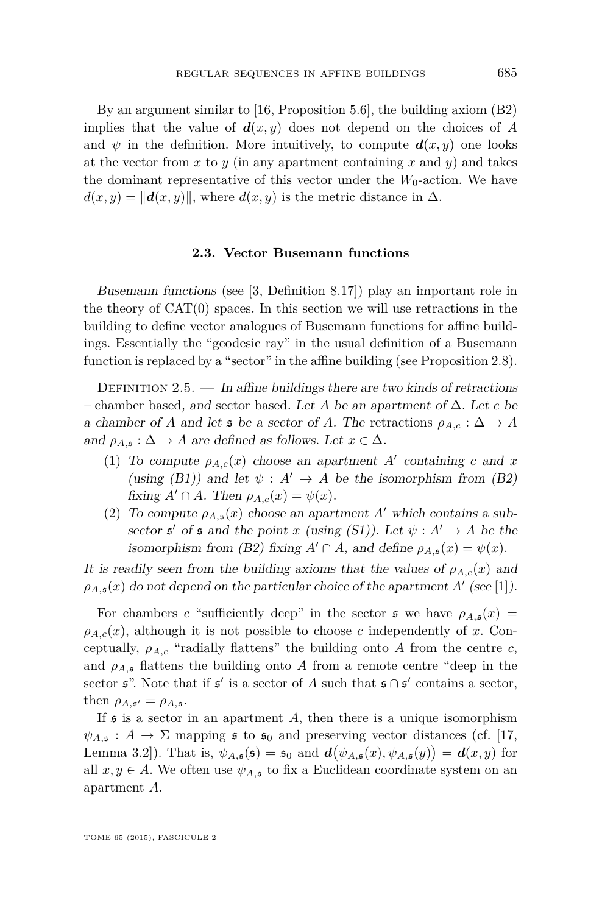By an argument similar to [\[16,](#page-32-0) Proposition 5.6], the building axiom (B2) implies that the value of  $d(x, y)$  does not depend on the choices of *A* and  $\psi$  in the definition. More intuitively, to compute  $\mathbf{d}(x, y)$  one looks at the vector from  $x$  to  $y$  (in any apartment containing  $x$  and  $y$ ) and takes the dominant representative of this vector under the  $W_0$ -action. We have  $d(x, y) = ||d(x, y)||$ , where  $d(x, y)$  is the metric distance in  $\Delta$ .

#### **2.3. Vector Busemann functions**

Busemann functions (see [\[3,](#page-31-0) Definition 8.17]) play an important role in the theory of  $CAT(0)$  spaces. In this section we will use retractions in the building to define vector analogues of Busemann functions for affine buildings. Essentially the "geodesic ray" in the usual definition of a Busemann function is replaced by a "sector" in the affine building (see Proposition [2.8\)](#page-12-0).

DEFINITION 2.5.  $\qquad$  In affine buildings there are two kinds of retractions – chamber based, and sector based. Let *A* be an apartment of ∆. Let *c* be a chamber of *A* and let **5** be a sector of *A*. The retractions  $\rho_{A,c} : \Delta \to A$ and  $\rho_{A,\mathfrak{s}}$ :  $\Delta \to A$  are defined as follows. Let  $x \in \Delta$ .

- (1) To compute  $\rho_{A,c}(x)$  choose an apartment A' containing *c* and *x* (using (B1)) and let  $\psi : A' \rightarrow A$  be the isomorphism from (B2) fixing  $A' \cap A$ . Then  $\rho_{A,c}(x) = \psi(x)$ .
- (2) To compute  $\rho_{A,\mathfrak{s}}(x)$  choose an apartment *A'* which contains a subsector  $\mathfrak{s}'$  of  $\mathfrak{s}$  and the point *x* (using (S1)). Let  $\psi : A' \to A$  be the isomorphism from (B2) fixing  $A' \cap A$ , and define  $\rho_{A,\mathfrak{s}}(x) = \psi(x)$ .

It is readily seen from the building axioms that the values of  $\rho_{A,c}(x)$  and  $\rho_{A,\mathfrak{s}}(x)$  do not depend on the particular choice of the apartment *A*<sup> $\prime$ </sup> (see [\[1\]](#page-31-0)).

For chambers *c* "sufficiently deep" in the sector  $\mathfrak{s}$  we have  $\rho_{A,\mathfrak{s}}(x) =$  $\rho_{A,c}(x)$ , although it is not possible to choose *c* independently of *x*. Conceptually,  $\rho_{A,c}$  "radially flattens" the building onto *A* from the centre *c*, and  $\rho_{A,s}$  flattens the building onto A from a remote centre "deep in the sector  $\mathfrak{s}$ ". Note that if  $\mathfrak{s}'$  is a sector of *A* such that  $\mathfrak{s} \cap \mathfrak{s}'$  contains a sector, then  $\rho_{A,\mathfrak{s}'} = \rho_{A,\mathfrak{s}}$ .

If  $\mathfrak s$  is a sector in an apartment A, then there is a unique isomorphism  $\psi_{A,\mathfrak{s}}: A \to \Sigma$  mapping  $\mathfrak{s}$  to  $\mathfrak{s}_0$  and preserving vector distances (cf. [\[17,](#page-32-0) Lemma 3.2]). That is,  $\psi_{A,\mathfrak{s}}(\mathfrak{s}) = \mathfrak{s}_0$  and  $d(\psi_{A,\mathfrak{s}}(x), \psi_{A,\mathfrak{s}}(y)) = d(x, y)$  for all  $x, y \in A$ . We often use  $\psi_{A, \mathfrak{s}}$  to fix a Euclidean coordinate system on an apartment *A*.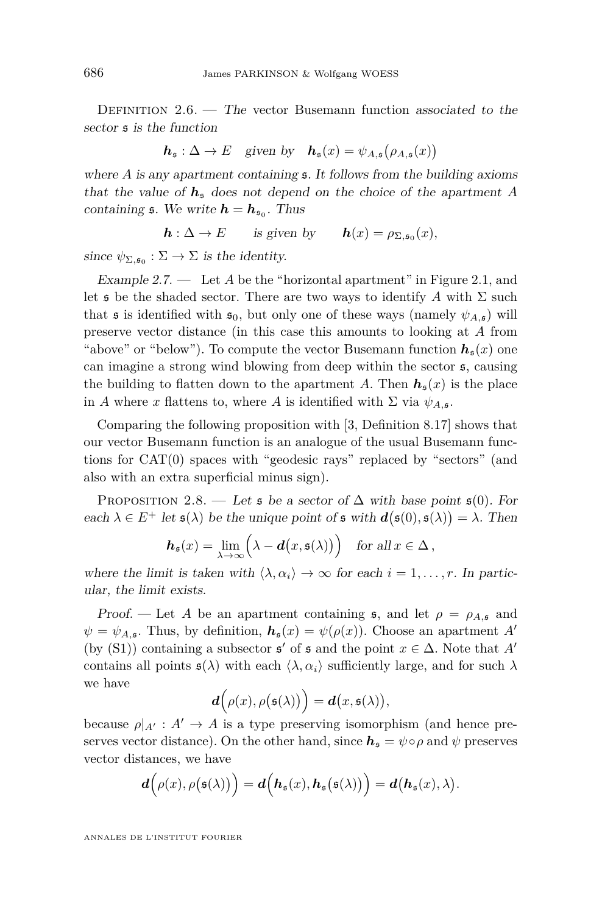<span id="page-12-0"></span>DEFINITION  $2.6.$  — The vector Busemann function associated to the sector s is the function

$$
\boldsymbol{h}_{\mathfrak{s}} : \Delta \to E \quad \text{given by} \quad \boldsymbol{h}_{\mathfrak{s}}(x) = \psi_{A,\mathfrak{s}}\big(\rho_{A,\mathfrak{s}}(x)\big)
$$

where *A* is any apartment containing **5**. It follows from the building axioms that the value of  $h_s$  does not depend on the choice of the apartment A containing  $\mathfrak{s}$ . We write  $h = h_{\mathfrak{s}_0}$ . Thus

$$
\mathbf{h}:\Delta\to E\qquad\text{is given by}\qquad\mathbf{h}(x)=\rho_{\Sigma,\mathfrak{s}_0}(x),
$$

since  $\psi_{\Sigma, \mathfrak{s}_0} : \Sigma \to \Sigma$  is the identity.

Example 2.7. — Let *A* be the "horizontal apartment" in Figure [2.1,](#page-9-0) and let  $\mathfrak s$  be the shaded sector. There are two ways to identify *A* with  $\Sigma$  such that **s** is identified with  $\mathfrak{s}_0$ , but only one of these ways (namely  $\psi_{A,\mathfrak{s}}$ ) will preserve vector distance (in this case this amounts to looking at *A* from "above" or "below"). To compute the vector Busemann function  $h<sub>s</sub>(x)$  one can imagine a strong wind blowing from deep within the sector s, causing the building to flatten down to the apartment *A*. Then  $h_s(x)$  is the place in *A* where *x* flattens to, where *A* is identified with  $\Sigma$  via  $\psi_{A,\mathfrak{s}}$ .

Comparing the following proposition with [\[3,](#page-31-0) Definition 8.17] shows that our vector Busemann function is an analogue of the usual Busemann functions for CAT(0) spaces with "geodesic rays" replaced by "sectors" (and also with an extra superficial minus sign).

PROPOSITION 2.8. — Let  $\mathfrak s$  be a sector of  $\Delta$  with base point  $\mathfrak s(0)$ . For each  $\lambda \in E^+$  let  $\mathfrak{s}(\lambda)$  be the unique point of  $\mathfrak{s}$  with  $d(\mathfrak{s}(0), \mathfrak{s}(\lambda)) = \lambda$ . Then

$$
\boldsymbol{h}_{\mathfrak{s}}(x) = \lim_{\lambda \to \infty} \Big( \lambda - \boldsymbol{d}\big(x, \mathfrak{s}(\lambda)\big) \Big) \quad \text{for all } x \in \Delta \,,
$$

where the limit is taken with  $\langle \lambda, \alpha_i \rangle \rightarrow \infty$  for each  $i = 1, \ldots, r$ . In particular, the limit exists.

Proof. — Let *A* be an apartment containing **5**, and let  $\rho = \rho_{A,\mathfrak{s}}$  and  $\psi = \psi_{A,\mathfrak{s}}$ . Thus, by definition,  $h_{\mathfrak{s}}(x) = \psi(\rho(x))$ . Choose an apartment *A'* (by (S1)) containing a subsector  $\mathfrak{s}'$  of  $\mathfrak{s}$  and the point  $x \in \Delta$ . Note that  $A'$ contains all points  $\mathfrak{s}(\lambda)$  with each  $\langle \lambda, \alpha_i \rangle$  sufficiently large, and for such  $\lambda$ we have

$$
\boldsymbol{d}\Big(\rho(x),\rho\big(\mathfrak{s}(\lambda)\big)\Big)=\boldsymbol{d}\big(x,\mathfrak{s}(\lambda)\big),
$$

because  $\rho|_{A'}: A' \to A$  is a type preserving isomorphism (and hence preserves vector distance). On the other hand, since  $h_s = \psi \circ \rho$  and  $\psi$  preserves vector distances, we have

$$
d\Big(\rho(x),\rho(\mathfrak{s}(\lambda))\Big)=d\Big(\boldsymbol{h}_{\mathfrak{s}}(x),\boldsymbol{h}_{\mathfrak{s}}\big(\mathfrak{s}(\lambda)\big)\Big)=d\big(\boldsymbol{h}_{\mathfrak{s}}(x),\lambda\big).
$$

ANNALES DE L'INSTITUT FOURIER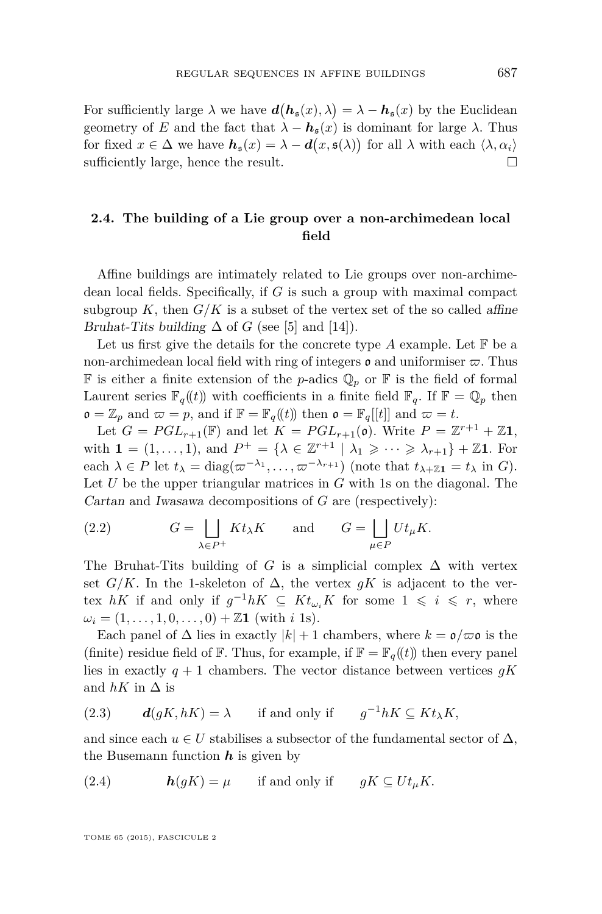<span id="page-13-0"></span>For sufficiently large  $\lambda$  we have  $d(h_{\mathfrak{s}}(x), \lambda) = \lambda - h_{\mathfrak{s}}(x)$  by the Euclidean geometry of *E* and the fact that  $\lambda - h_{\rm s}(x)$  is dominant for large  $\lambda$ . Thus for fixed  $x \in \Delta$  we have  $h_s(x) = \lambda - d(x, \mathfrak{s}(\lambda))$  for all  $\lambda$  with each  $\langle \lambda, \alpha_i \rangle$ sufficiently large, hence the result.

#### **2.4. The building of a Lie group over a non-archimedean local field**

Affine buildings are intimately related to Lie groups over non-archimedean local fields. Specifically, if *G* is such a group with maximal compact subgroup  $K$ , then  $G/K$  is a subset of the vertex set of the so called affine Bruhat-Tits building  $\Delta$  of *G* (see [\[5\]](#page-32-0) and [\[14\]](#page-32-0)).

Let us first give the details for the concrete type  $A$  example. Let  $\mathbb F$  be a non-archimedean local field with ring of integers  $\mathfrak o$  and uniformiser  $\varpi$ . Thus **F** is either a finite extension of the *p*-adics  $\mathbb{Q}_p$  or **F** is the field of formal Laurent series  $\mathbb{F}_q((t))$  with coefficients in a finite field  $\mathbb{F}_q$ . If  $\mathbb{F} = \mathbb{Q}_p$  then  $\mathfrak{o} = \mathbb{Z}_p$  and  $\mathfrak{\varpi} = p$ , and if  $\mathbb{F} = \mathbb{F}_q(\mathfrak{h})$  then  $\mathfrak{o} = \mathbb{F}_q[[t]]$  and  $\mathfrak{\varpi} = t$ .

Let  $G = PGL_{r+1}(\mathbb{F})$  and let  $K = PGL_{r+1}(\mathfrak{o})$ . Write  $P = \mathbb{Z}^{r+1} + \mathbb{Z}1$ , with  $\mathbf{1} = (1, \ldots, 1)$ , and  $P^+ = \{ \lambda \in \mathbb{Z}^{r+1} \mid \lambda_1 \geqslant \cdots \geqslant \lambda_{r+1} \} + \mathbb{Z} \mathbf{1}$ . For each  $\lambda \in P$  let  $t_{\lambda} = \text{diag}(\varpi^{-\lambda_1}, \dots, \varpi^{-\lambda_{r+1}})$  (note that  $t_{\lambda+Z} \mathbf{1} = t_{\lambda}$  in *G*). Let *U* be the upper triangular matrices in *G* with 1s on the diagonal. The Cartan and Iwasawa decompositions of *G* are (respectively):

(2.2) 
$$
G = \bigsqcup_{\lambda \in P^+} Kt_{\lambda}K \quad \text{and} \quad G = \bigsqcup_{\mu \in P} Ut_{\mu}K.
$$

The Bruhat-Tits building of *G* is a simplicial complex  $\Delta$  with vertex set *G/K*. In the 1-skeleton of  $\Delta$ , the vertex *gK* is adjacent to the vertex *hK* if and only if  $g^{-1}hK \subseteq Kt_{\omega_i}K$  for some  $1 \leq i \leq r$ , where  $\omega_i = (1, \ldots, 1, 0, \ldots, 0) + \mathbb{Z}1$  (with *i* 1s).

Each panel of  $\Delta$  lies in exactly  $|k| + 1$  chambers, where  $k = \mathfrak{o}/\varpi \mathfrak{o}$  is the (finite) residue field of F. Thus, for example, if  $\mathbb{F} = \mathbb{F}_q(\mathfrak{t})$  then every panel lies in exactly  $q + 1$  chambers. The vector distance between vertices  $qK$ and  $hK$  in  $\Delta$  is

(2.3) 
$$
d(gK, hK) = \lambda
$$
 if and only if  $g^{-1}hK \subseteq Kt_{\lambda}K$ ,

and since each  $u \in U$  stabilises a subsector of the fundamental sector of  $\Delta$ , the Busemann function  $h$  is given by

(2.4) 
$$
h(gK) = \mu \quad \text{if and only if} \quad gK \subseteq Ut_{\mu}K.
$$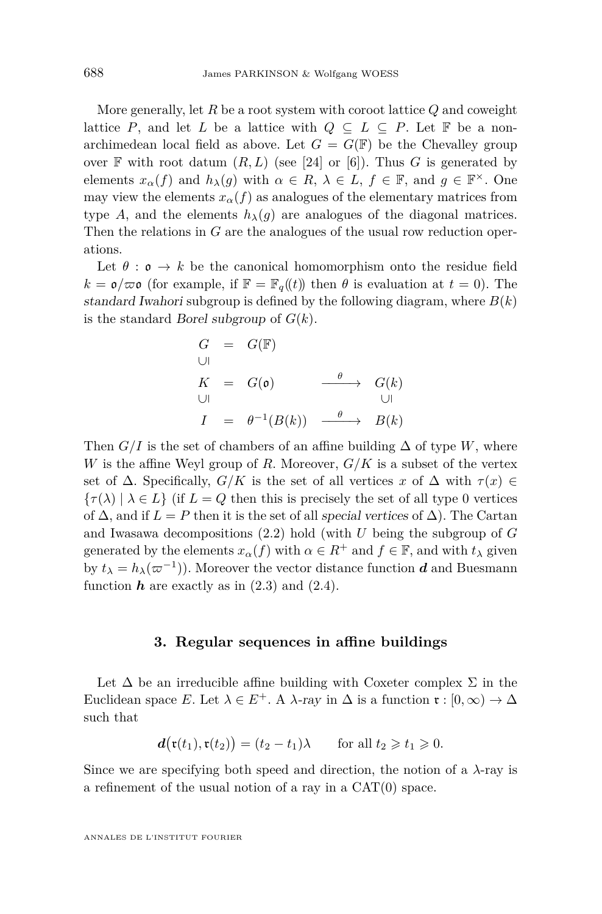<span id="page-14-0"></span>More generally, let *R* be a root system with coroot lattice *Q* and coweight lattice *P*, and let *L* be a lattice with  $Q \subseteq L \subseteq P$ . Let **F** be a nonarchimedean local field as above. Let  $G = G(\mathbb{F})$  be the Chevalley group over  $\mathbb F$  with root datum  $(R, L)$  (see [\[24\]](#page-32-0) or [\[6\]](#page-32-0)). Thus *G* is generated by elements  $x_{\alpha}(f)$  and  $h_{\lambda}(g)$  with  $\alpha \in R$ ,  $\lambda \in L$ ,  $f \in \mathbb{F}$ , and  $g \in \mathbb{F}^{\times}$ . One may view the elements  $x_\alpha(f)$  as analogues of the elementary matrices from type *A*, and the elements  $h_{\lambda}(q)$  are analogues of the diagonal matrices. Then the relations in *G* are the analogues of the usual row reduction operations.

Let  $\theta : \mathfrak{o} \to k$  be the canonical homomorphism onto the residue field  $k = \mathfrak{o}/\varpi \mathfrak{o}$  (for example, if  $\mathbb{F} = \mathbb{F}_q(\mathfrak{t})$ ) then  $\theta$  is evaluation at  $t = 0$ ). The standard Iwahori subgroup is defined by the following diagram, where  $B(k)$ is the standard Borel subgroup of *G*(*k*).

$$
G = G(\mathbb{F})
$$
  
\n
$$
K = G(\mathfrak{o}) \xrightarrow{\theta} G(k)
$$
  
\n
$$
I = \theta^{-1}(B(k)) \xrightarrow{\theta} B(k)
$$

Then  $G/I$  is the set of chambers of an affine building  $\Delta$  of type *W*, where *W* is the affine Weyl group of *R*. Moreover, *G/K* is a subset of the vertex set of  $\Delta$ . Specifically,  $G/K$  is the set of all vertices  $x$  of  $\Delta$  with  $\tau(x) \in$  $\{\tau(\lambda) \mid \lambda \in L\}$  (if  $L = Q$  then this is precisely the set of all type 0 vertices of  $\Delta$ , and if  $L = P$  then it is the set of all special vertices of  $\Delta$ ). The Cartan and Iwasawa decompositions [\(2.2\)](#page-13-0) hold (with *U* being the subgroup of *G* generated by the elements  $x_\alpha(f)$  with  $\alpha \in R^+$  and  $f \in \mathbb{F}$ , and with  $t_\lambda$  given by  $t_{\lambda} = h_{\lambda}(\varpi^{-1})$ ). Moreover the vector distance function *d* and Buesmann function  $h$  are exactly as in  $(2.3)$  and  $(2.4)$ .

#### **3. Regular sequences in affine buildings**

Let  $\Delta$  be an irreducible affine building with Coxeter complex  $\Sigma$  in the Euclidean space *E*. Let  $\lambda \in E^+$ . A  $\lambda$ -ray in  $\Delta$  is a function  $\mathfrak{r}: [0, \infty) \to \Delta$ such that

$$
\mathbf{d}(\mathfrak{r}(t_1),\mathfrak{r}(t_2)) = (t_2 - t_1)\lambda \quad \text{for all } t_2 \geq t_1 \geq 0.
$$

Since we are specifying both speed and direction, the notion of a  $\lambda$ -ray is a refinement of the usual notion of a ray in a CAT(0) space.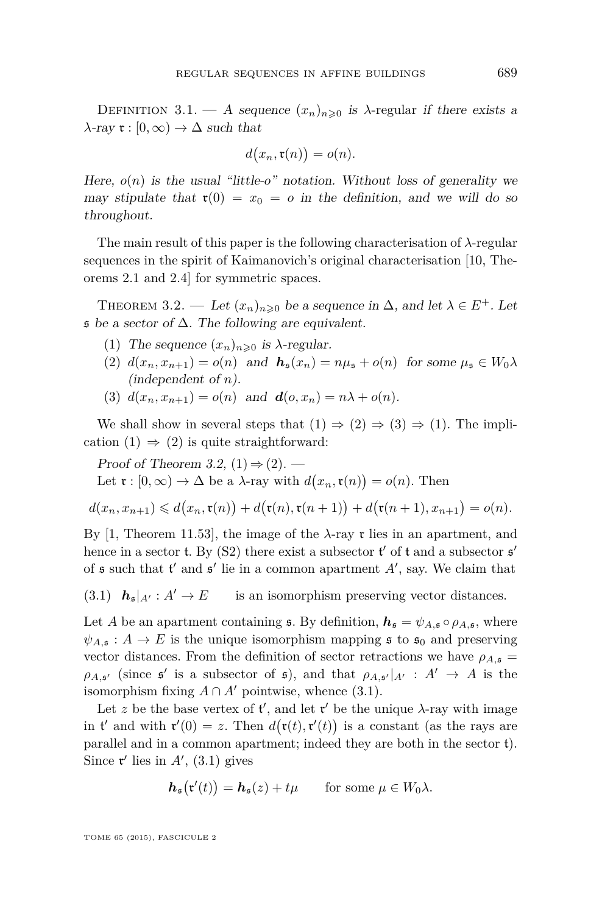<span id="page-15-0"></span>DEFINITION 3.1. — A sequence  $(x_n)_{n\geq 0}$  is  $\lambda$ -regular if there exists a  $\lambda$ -ray  $\mathfrak{r} : [0, \infty) \to \Delta$  such that

$$
d(x_n, \mathfrak{r}(n)) = o(n).
$$

Here,  $o(n)$  is the usual "little- $o$ " notation. Without loss of generality we may stipulate that  $\mathfrak{r}(0) = x_0 = o$  in the definition, and we will do so throughout.

The main result of this paper is the following characterisation of *λ*-regular sequences in the spirit of Kaimanovich's original characterisation [\[10,](#page-32-0) Theorems 2.1 and 2.4] for symmetric spaces.

THEOREM 3.2. — Let  $(x_n)_{n\geq 0}$  be a sequence in  $\Delta$ , and let  $\lambda \in E^+$ . Let  $\mathfrak s$  be a sector of  $\Delta$ . The following are equivalent.

- (1) The sequence  $(x_n)_{n\geqslant 0}$  is  $\lambda$ -regular.
- (2)  $d(x_n, x_{n+1}) = o(n)$  and  $h_s(x_n) = n\mu_s + o(n)$  for some  $\mu_s \in W_0 \lambda$ (independent of *n*).
- (3)  $d(x_n, x_{n+1}) = o(n)$  and  $d(o, x_n) = n\lambda + o(n)$ .

We shall show in several steps that  $(1) \Rightarrow (2) \Rightarrow (3) \Rightarrow (1)$ . The implication  $(1) \Rightarrow (2)$  is quite straightforward:

Proof of Theorem 3.2,  $(1) \Rightarrow (2)$ . — Let  $\mathfrak{r}: [0, \infty) \to \Delta$  be a  $\lambda$ -ray with  $d(x_n, \mathfrak{r}(n)) = o(n)$ . Then

$$
d(x_n,x_{n+1}) \leq d(x_n,\mathfrak{r}(n)) + d(\mathfrak{r}(n),\mathfrak{r}(n+1)) + d(\mathfrak{r}(n+1),x_{n+1}) = o(n).
$$

By [\[1,](#page-31-0) Theorem 11.53], the image of the  $\lambda$ -ray  $\mathfrak r$  lies in an apartment, and hence in a sector **t**. By (S2) there exist a subsector **t'** of **t** and a subsector **s'** of  $\mathfrak s$  such that  $\mathfrak t'$  and  $\mathfrak s'$  lie in a common apartment  $A'$ , say. We claim that

 $h_{\mathfrak{s}}|_{A'}: A' \to E$  is an isomorphism preserving vector distances.

Let *A* be an apartment containing **s**. By definition,  $h_s = \psi_{A,s} \circ \rho_{A,s}$ , where  $\psi_{A,\mathfrak{s}}: A \to E$  is the unique isomorphism mapping  $\mathfrak{s}$  to  $\mathfrak{s}_0$  and preserving vector distances. From the definition of sector retractions we have  $\rho_{A,\mathfrak{s}} =$  $\rho_{A,\mathfrak{s}'}$  (since  $\mathfrak{s}'$  is a subsector of  $\mathfrak{s}$ ), and that  $\rho_{A,\mathfrak{s}'}|_{A'} : A' \to A$  is the isomorphism fixing  $A \cap A'$  pointwise, whence (3.1).

Let z be the base vertex of  $t'$ , and let  $t'$  be the unique  $\lambda$ -ray with image in t' and with  $\mathbf{r}'(0) = z$ . Then  $d(\mathbf{r}(t), \mathbf{r}'(t))$  is a constant (as the rays are parallel and in a common apartment; indeed they are both in the sector t). Since  $\mathfrak{r}'$  lies in  $A'$ , (3.1) gives

$$
\mathbf{h}_{\mathfrak{s}}(\mathfrak{r}'(t)) = \mathbf{h}_{\mathfrak{s}}(z) + t\mu \quad \text{for some } \mu \in W_0 \lambda.
$$

TOME 65 (2015), FASCICULE 2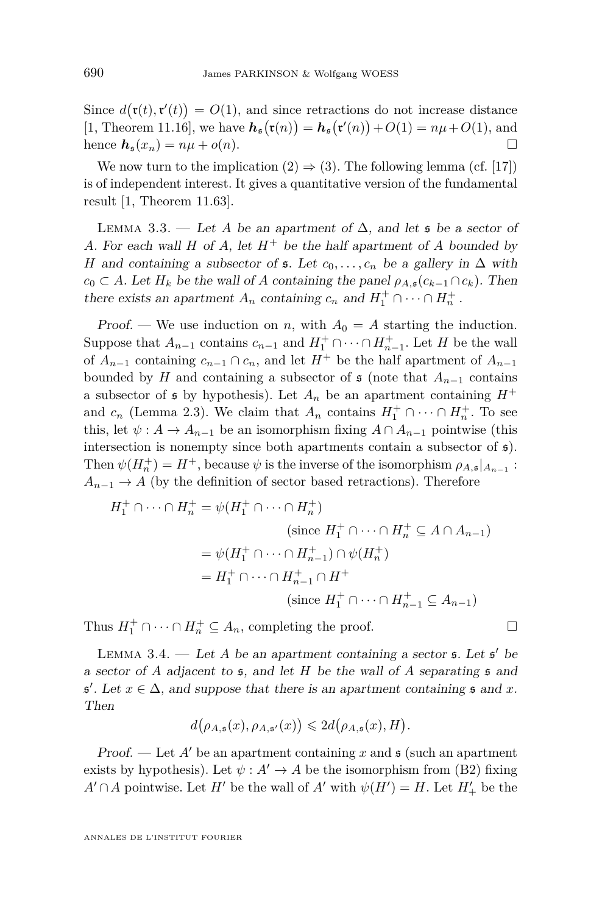<span id="page-16-0"></span>Since  $d(\mathbf{r}(t), \mathbf{r}'(t)) = O(1)$ , and since retractions do not increase distance [\[1,](#page-31-0) Theorem 11.16], we have  $h_{\mathfrak{s}}(\mathfrak{r}(n)) = h_{\mathfrak{s}}(\mathfrak{r}'(n)) + O(1) = n\mu + O(1)$ , and hence  $h_s(x_n) = n\mu + o(n)$ .

We now turn to the implication  $(2) \Rightarrow (3)$ . The following lemma (cf. [\[17\]](#page-32-0)) is of independent interest. It gives a quantitative version of the fundamental result [\[1,](#page-31-0) Theorem 11.63].

LEMMA 3.3. — Let *A* be an apartment of  $\Delta$ , and let **s** be a sector of *A*. For each wall *H* of *A*, let  $H^+$  be the half apartment of *A* bounded by *H* and containing a subsector of  $\mathfrak{s}$ . Let  $c_0, \ldots, c_n$  be a gallery in  $\Delta$  with  $c_0 \subset A$ . Let  $H_k$  be the wall of *A* containing the panel  $\rho_{A,\mathfrak{s}}(c_{k-1} \cap c_k)$ . Then there exists an apartment  $A_n$  containing  $c_n$  and  $H_1^+ \cap \cdots \cap H_n^+$ .

Proof. — We use induction on *n*, with  $A_0 = A$  starting the induction. Suppose that  $A_{n-1}$  contains  $c_{n-1}$  and  $H_1^+ \cap \cdots \cap H_{n-1}^+$ . Let *H* be the wall of  $A_{n-1}$  containing  $c_{n-1} \cap c_n$ , and let  $H^+$  be the half apartment of  $A_{n-1}$ bounded by *H* and containing a subsector of  $\mathfrak s$  (note that  $A_{n-1}$  contains a subsector of  $\mathfrak s$  by hypothesis). Let  $A_n$  be an apartment containing  $H^+$ and  $c_n$  (Lemma [2.3\)](#page-10-0). We claim that  $A_n$  contains  $H_1^+ \cap \cdots \cap H_n^+$ . To see this, let  $\psi : A \to A_{n-1}$  be an isomorphism fixing  $A \cap A_{n-1}$  pointwise (this intersection is nonempty since both apartments contain a subsector of  $\epsilon$ ). Then  $\psi(H_n^+) = H^+$ , because  $\psi$  is the inverse of the isomorphism  $\rho_{A,\mathfrak{s}}|_{A_{n-1}}$ :  $A_{n-1} \rightarrow A$  (by the definition of sector based retractions). Therefore

$$
H_1^+ \cap \cdots \cap H_n^+ = \psi(H_1^+ \cap \cdots \cap H_n^+)
$$
  
\n(since  $H_1^+ \cap \cdots \cap H_n^+ \subseteq A \cap A_{n-1}$ )  
\n
$$
= \psi(H_1^+ \cap \cdots \cap H_{n-1}^+) \cap \psi(H_n^+)
$$
  
\n
$$
= H_1^+ \cap \cdots \cap H_{n-1}^+ \cap H^+
$$
  
\n(since  $H_1^+ \cap \cdots \cap H_{n-1}^+ \subseteq A_{n-1}$ )

Thus  $H_1^+ \cap \cdots \cap H_n^+ \subseteq A_n$ , completing the proof.

LEMMA 3.4.  $-$  Let *A* be an apartment containing a sector  $\mathfrak{s}$ . Let  $\mathfrak{s}'$  be a sector of *A* adjacent to s, and let *H* be the wall of *A* separating s and  $\mathfrak{s}'$ . Let  $x \in \Delta$ , and suppose that there is an apartment containing  $\mathfrak{s}$  and  $x$ . Then

$$
d(\rho_{A,\mathfrak{s}}(x),\rho_{A,\mathfrak{s}'}(x)) \leq 2d(\rho_{A,\mathfrak{s}}(x),H).
$$

Proof. — Let  $A'$  be an apartment containing x and  $\mathfrak s$  (such an apartment exists by hypothesis). Let  $\psi : A' \to A$  be the isomorphism from (B2) fixing *A*<sup> $\prime$ </sup> ∩*A* pointwise. Let *H*<sup> $\prime$ </sup> be the wall of *A*<sup> $\prime$ </sup> with  $\psi$ (*H*<sup> $\prime$ </sup>) = *H*. Let *H*<sub> $+$ </sub><sup> $\prime$ </sup> be the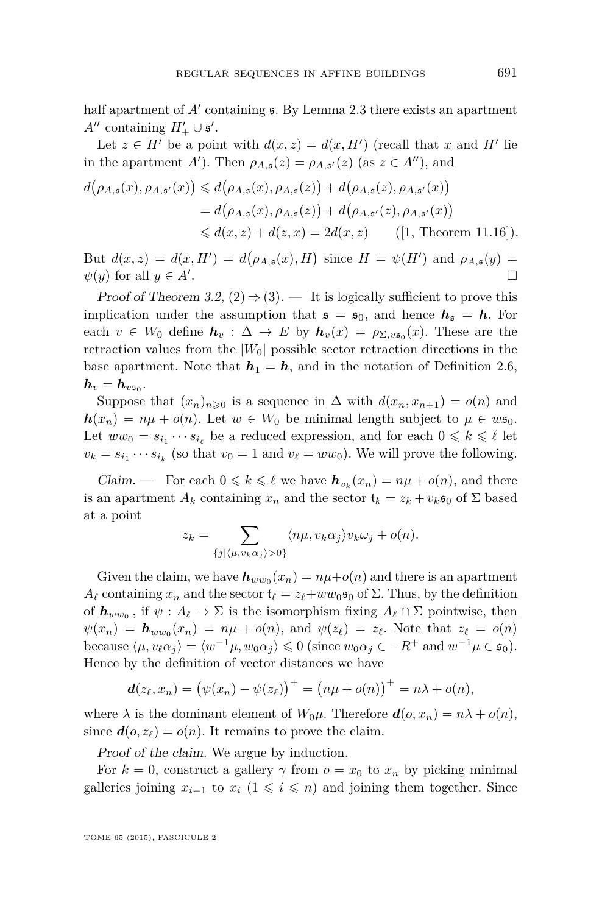half apartment of A' containing  $\epsilon$ . By Lemma [2.3](#page-10-0) there exists an apartment *A*<sup> $\prime\prime$ </sup> containing *H*<sup> $\prime$ </sup>+ ∪  $\mathfrak{s}'$ .

Let  $z \in H'$  be a point with  $d(x, z) = d(x, H')$  (recall that x and H' lie in the apartment *A*'). Then  $\rho_{A,\mathfrak{s}}(z) = \rho_{A,\mathfrak{s}'}(z)$  (as  $z \in A''$ ), and

$$
d(\rho_{A,\mathfrak{s}}(x), \rho_{A,\mathfrak{s}'}(x)) \leq d(\rho_{A,\mathfrak{s}}(x), \rho_{A,\mathfrak{s}}(z)) + d(\rho_{A,\mathfrak{s}}(z), \rho_{A,\mathfrak{s}'}(x))
$$
  
=  $d(\rho_{A,\mathfrak{s}}(x), \rho_{A,\mathfrak{s}}(z)) + d(\rho_{A,\mathfrak{s}'}(z), \rho_{A,\mathfrak{s}'}(x))$   
 $\leq d(x, z) + d(z, x) = 2d(x, z)$  ([1, Theorem 11.16]).

But  $d(x, z) = d(x, H') = d(\rho_{A, s}(x), H)$  since  $H = \psi(H')$  and  $\rho_{A, s}(y) =$  $\psi(y)$  for all  $y \in A'$ . .

Proof of Theorem [3.2,](#page-15-0)  $(2) \Rightarrow (3)$ . — It is logically sufficient to prove this implication under the assumption that  $s = s_0$ , and hence  $h_s = h$ . For each  $v \in W_0$  define  $h_v : \Delta \to E$  by  $h_v(x) = \rho_{\Sigma, v\mathfrak{s}_0}(x)$ . These are the retraction values from the  $|W_0|$  possible sector retraction directions in the base apartment. Note that  $h_1 = h$ , and in the notation of Definition [2.6,](#page-12-0)  $\bm{h}_v = \bm{h}_{v\mathfrak{s}_0}.$ 

Suppose that  $(x_n)_{n\geq 0}$  is a sequence in  $\Delta$  with  $d(x_n, x_{n+1}) = o(n)$  and  $h(x_n) = n\mu + o(n)$ . Let  $w \in W_0$  be minimal length subject to  $\mu \in w$ s<sub>0</sub>. Let  $ww_0 = s_{i_1} \cdots s_{i_\ell}$  be a reduced expression, and for each  $0 \leq k \leq \ell$  let  $v_k = s_{i_1} \cdots s_{i_k}$  (so that  $v_0 = 1$  and  $v_\ell = w w_0$ ). We will prove the following.

Claim. — For each  $0 \leq k \leq \ell$  we have  $h_{v_k}(x_n) = n\mu + o(n)$ , and there is an apartment  $A_k$  containing  $x_n$  and the sector  $\mathfrak{t}_k = z_k + v_k \mathfrak{s}_0$  of  $\Sigma$  based at a point

$$
z_k = \sum_{\{j|\langle \mu, v_k \alpha_j \rangle > 0\}} \langle n\mu, v_k \alpha_j \rangle v_k \omega_j + o(n).
$$

Given the claim, we have  $h_{ww_0}(x_n) = n\mu + o(n)$  and there is an apartment  $A_\ell$  containing  $x_n$  and the sector  $\mathfrak{t}_\ell = z_\ell + w w_0 \mathfrak{s}_0$  of  $\Sigma$ . Thus, by the definition of  $h_{ww_0}$ , if  $\psi: A_\ell \to \Sigma$  is the isomorphism fixing  $A_\ell \cap \Sigma$  pointwise, then  $\psi(x_n) = h_{ww_0}(x_n) = n\mu + o(n)$ , and  $\psi(z_\ell) = z_\ell$ . Note that  $z_\ell = o(n)$ because  $\langle \mu, v_\ell \alpha_j \rangle = \langle w^{-1} \mu, w_0 \alpha_j \rangle \leq 0$  (since  $w_0 \alpha_j \in -R^+$  and  $w^{-1} \mu \in \mathfrak{s}_0$ ). Hence by the definition of vector distances we have

$$
\mathbf{d}(z_{\ell}, x_n) = (\psi(x_n) - \psi(z_{\ell}))^{+} = (n\mu + o(n))^{+} = n\lambda + o(n),
$$

where  $\lambda$  is the dominant element of  $W_0\mu$ . Therefore  $d(o, x_n) = n\lambda + o(n)$ , since  $d(o, z_\ell) = o(n)$ . It remains to prove the claim.

Proof of the claim. We argue by induction.

For  $k = 0$ , construct a gallery  $\gamma$  from  $o = x_0$  to  $x_n$  by picking minimal galleries joining  $x_{i-1}$  to  $x_i$  ( $1 \leq i \leq n$ ) and joining them together. Since

TOME 65 (2015), FASCICULE 2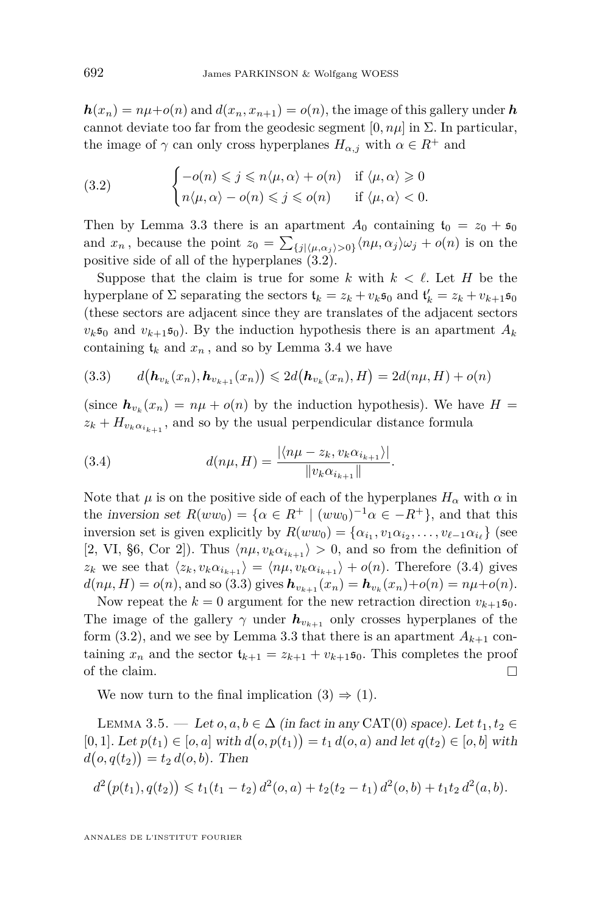<span id="page-18-0"></span> $h(x_n) = n\mu + o(n)$  and  $d(x_n, x_{n+1}) = o(n)$ , the image of this gallery under *h* cannot deviate too far from the geodesic segment  $[0, n\mu]$  in  $\Sigma$ . In particular, the image of  $\gamma$  can only cross hyperplanes  $H_{\alpha,j}$  with  $\alpha \in R^+$  and

(3.2) 
$$
\begin{cases}\n-o(n) \leqslant j \leqslant n \langle \mu, \alpha \rangle + o(n) & \text{if } \langle \mu, \alpha \rangle \geqslant 0 \\
n \langle \mu, \alpha \rangle - o(n) \leqslant j \leqslant o(n) & \text{if } \langle \mu, \alpha \rangle < 0.\n\end{cases}
$$

Then by Lemma [3.3](#page-16-0) there is an apartment  $A_0$  containing  $t_0 = z_0 + s_0$ and  $x_n$ , because the point  $z_0 = \sum_{\{j|\langle \mu, \alpha_j \rangle > 0\}} \langle n\mu, \alpha_j \rangle \omega_j + o(n)$  is on the positive side of all of the hyperplanes (3.2).

Suppose that the claim is true for some k with  $k < \ell$ . Let H be the hyperplane of  $\Sigma$  separating the sectors  $\mathbf{t}_k = z_k + v_k \mathbf{s}_0$  and  $\mathbf{t}'_k = z_k + v_{k+1} \mathbf{s}_0$ (these sectors are adjacent since they are translates of the adjacent sectors  $v_k$ s<sub>0</sub> and  $v_{k+1}$ s<sub>0</sub>). By the induction hypothesis there is an apartment  $A_k$ containing  $t_k$  and  $x_n$ , and so by Lemma [3.4](#page-16-0) we have

$$
(3.3) \qquad d\big(\mathbf{h}_{v_k}(x_n), \mathbf{h}_{v_{k+1}}(x_n)\big) \leq 2d\big(\mathbf{h}_{v_k}(x_n), H\big) = 2d(n\mu, H) + o(n)
$$

(since  $h_{v_k}(x_n) = n\mu + o(n)$  by the induction hypothesis). We have  $H =$  $z_k + H_{v_k \alpha_{i_{k+1}}}$ , and so by the usual perpendicular distance formula

(3.4) 
$$
d(n\mu, H) = \frac{|\langle n\mu - z_k, v_k \alpha_{i_{k+1}} \rangle|}{\|v_k \alpha_{i_{k+1}}\|}.
$$

Note that  $\mu$  is on the positive side of each of the hyperplanes  $H_{\alpha}$  with  $\alpha$  in the inversion set  $R(ww_0) = {\alpha \in R^+ | (ww_0)^{-1}\alpha \in -R^+}$ , and that this inversion set is given explicitly by  $R(ww_0) = {\alpha_{i_1}, \alpha_1 \alpha_{i_2}, \dots, \alpha_{\ell-1} \alpha_{i_{\ell}}}$  (see [\[2,](#page-31-0) VI, §6, Cor 2]). Thus  $\langle n\mu, v_k\alpha_{i_{k+1}} \rangle > 0$ , and so from the definition of *z*<sub>*k*</sub> we see that  $\langle z_k, v_k \alpha_{i_{k+1}} \rangle = \langle n\mu, v_k \alpha_{i_{k+1}} \rangle + o(n)$ . Therefore (3.4) gives  $d(n\mu, H) = o(n)$ , and so (3.3) gives  $h_{v_{k+1}}(x_n) = h_{v_k}(x_n) + o(n) = n\mu + o(n)$ .

Now repeat the  $k = 0$  argument for the new retraction direction  $v_{k+1}$ ,  $\mathfrak{s}_0$ . The image of the gallery  $\gamma$  under  $h_{v_{k+1}}$  only crosses hyperplanes of the form  $(3.2)$ , and we see by Lemma [3.3](#page-16-0) that there is an apartment  $A_{k+1}$  containing  $x_n$  and the sector  $t_{k+1} = z_{k+1} + v_{k+1}$ , This completes the proof of the claim.  $\Box$ 

We now turn to the final implication  $(3) \Rightarrow (1)$ .

LEMMA 3.5. — Let  $o, a, b \in \Delta$  (in fact in any CAT(0) space). Let  $t_1, t_2 \in$  $[0, 1]$ . Let  $p(t_1) \in [0, a]$  with  $d(o, p(t_1)) = t_1 d(o, a)$  and let  $q(t_2) \in [o, b]$  with  $d(o, q(t_2)) = t_2 d(o, b)$ . Then

$$
d^{2}(p(t_{1}), q(t_{2})) \leq t_{1}(t_{1}-t_{2}) d^{2}(o, a) + t_{2}(t_{2}-t_{1}) d^{2}(o, b) + t_{1}t_{2} d^{2}(a, b).
$$

ANNALES DE L'INSTITUT FOURIER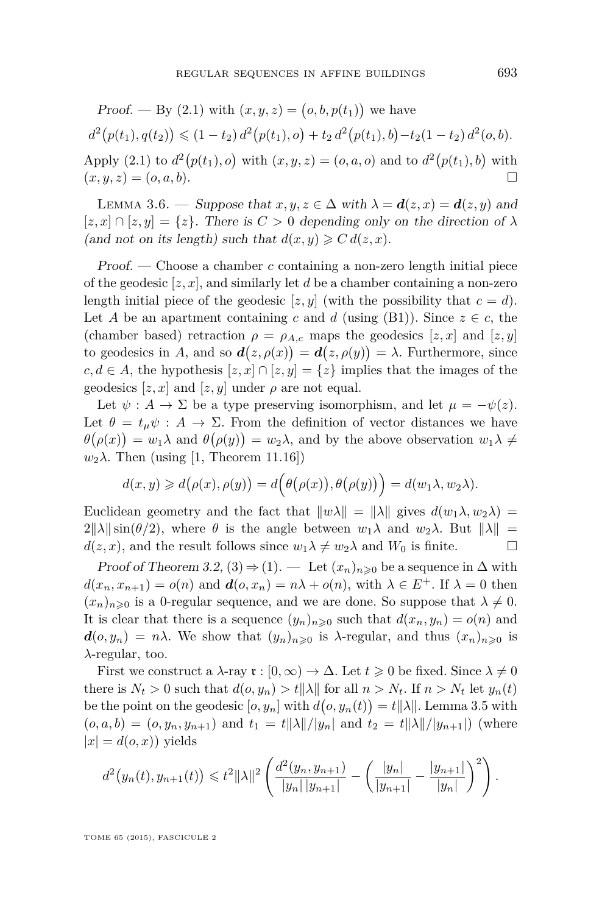<span id="page-19-0"></span>Proof. — By (2.1) with 
$$
(x, y, z) = (o, b, p(t_1))
$$
 we have  
\n
$$
d^2(p(t_1), q(t_2)) \le (1 - t_2) d^2(p(t_1), o) + t_2 d^2(p(t_1), b) - t_2(1 - t_2) d^2(o, b).
$$
\nApply (2.1) to  $d^2(p(t_1), o)$  with  $(x, y, z) = (o, a, o)$  and to  $d^2(p(t_1), b)$  with  $(x, y, z) = (o, a, b)$ .

LEMMA 3.6. — Suppose that  $x, y, z \in \Delta$  with  $\lambda = d(z, x) = d(z, y)$  and  $[z, x] \cap [z, y] = \{z\}$ . There is  $C > 0$  depending only on the direction of  $\lambda$ (and not on its length) such that  $d(x, y) \geq C d(z, x)$ .

Proof. — Choose a chamber *c* containing a non-zero length initial piece of the geodesic [*z, x*], and similarly let *d* be a chamber containing a non-zero length initial piece of the geodesic  $[z, y]$  (with the possibility that  $c = d$ ). Let *A* be an apartment containing *c* and *d* (using (B1)). Since  $z \in c$ , the (chamber based) retraction  $\rho = \rho_{A,c}$  maps the geodesics  $[z, x]$  and  $[z, y]$ to geodesics in *A*, and so  $d(z, \rho(x)) = d(z, \rho(y)) = \lambda$ . Furthermore, since *c, d* ∈ *A*, the hypothesis [*z, x*] ∩ [*z, y*] = {*z*} implies that the images of the geodesics  $[z, x]$  and  $[z, y]$  under  $\rho$  are not equal.

Let  $\psi : A \to \Sigma$  be a type preserving isomorphism, and let  $\mu = -\psi(z)$ . Let  $\theta = t_{\mu} \psi : A \to \Sigma$ . From the definition of vector distances we have  $\theta(\rho(x)) = w_1 \lambda$  and  $\theta(\rho(y)) = w_2 \lambda$ , and by the above observation  $w_1 \lambda \neq$  $w_2\lambda$ . Then (using [\[1,](#page-31-0) Theorem 11.16])

$$
d(x,y) \geq d(\rho(x),\rho(y)) = d(\theta(\rho(x)),\theta(\rho(y))) = d(w_1\lambda, w_2\lambda).
$$

Euclidean geometry and the fact that  $\|w\lambda\| = \|\lambda\|$  gives  $d(w_1\lambda, w_2\lambda) =$  $2\|\lambda\|\sin(\theta/2)$ , where  $\theta$  is the angle between  $w_1\lambda$  and  $w_2\lambda$ . But  $\|\lambda\|$  =  $d(z, x)$ , and the result follows since  $w_1 \lambda \neq w_2 \lambda$  and  $W_0$  is finite.

Proof of Theorem [3.2,](#page-15-0)  $(3) \Rightarrow (1)$ . — Let  $(x_n)_{n\geqslant 0}$  be a sequence in  $\Delta$  with  $d(x_n, x_{n+1}) = o(n)$  and  $d(o, x_n) = n\lambda + o(n)$ , with  $\lambda \in E^+$ . If  $\lambda = 0$  then  $(x_n)_{n\geq 0}$  is a 0-regular sequence, and we are done. So suppose that  $\lambda \neq 0$ . It is clear that there is a sequence  $(y_n)_{n\geqslant0}$  such that  $d(x_n, y_n) = o(n)$  and  $d(o, y_n) = n\lambda$ . We show that  $(y_n)_{n\geqslant 0}$  is  $\lambda$ -regular, and thus  $(x_n)_{n\geqslant 0}$  is *λ*-regular, too.

First we construct a  $\lambda$ -ray  $\mathfrak{r} : [0, \infty) \to \Delta$ . Let  $t \geq 0$  be fixed. Since  $\lambda \neq 0$ there is  $N_t > 0$  such that  $d(o, y_n) > t ||\lambda||$  for all  $n > N_t$ . If  $n > N_t$  let  $y_n(t)$ be the point on the geodesic  $[o, y_n]$  with  $d(o, y_n(t)) = t ||\lambda||$ . Lemma [3.5](#page-18-0) with  $(o, a, b) = (o, y_n, y_{n+1})$  and  $t_1 = t ||\lambda|| / |y_n|$  and  $t_2 = t ||\lambda|| / |y_{n+1}|$  (where  $|x| = d(o, x)$ ) yields

$$
d^2(y_n(t), y_{n+1}(t)) \leq t^2 ||\lambda||^2 \left( \frac{d^2(y_n, y_{n+1})}{|y_n||y_{n+1}|} - \left( \frac{|y_n|}{|y_{n+1}|} - \frac{|y_{n+1}|}{|y_n|} \right)^2 \right).
$$

TOME 65 (2015), FASCICULE 2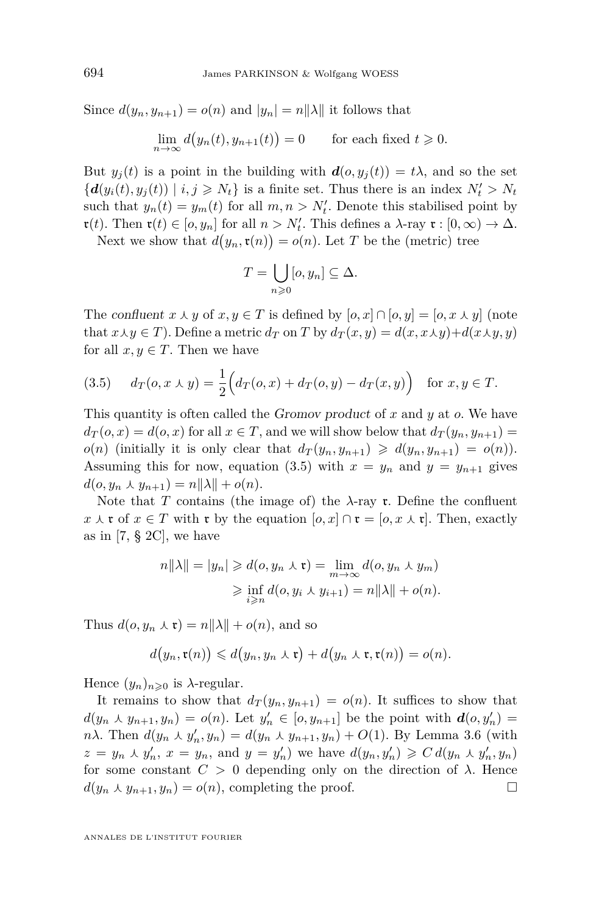Since  $d(y_n, y_{n+1}) = o(n)$  and  $|y_n| = n||\lambda||$  it follows that

$$
\lim_{n \to \infty} d(y_n(t), y_{n+1}(t)) = 0 \quad \text{for each fixed } t \geq 0.
$$

But  $y_i(t)$  is a point in the building with  $d(o, y_i(t)) = t\lambda$ , and so the set  ${d(y_i(t), y_j(t)) | i, j \geq N_t}$  is a finite set. Thus there is an index  $N'_t > N_t$ such that  $y_n(t) = y_m(t)$  for all  $m, n > N'_t$ . Denote this stabilised point by  $\mathfrak{r}(t)$ . Then  $\mathfrak{r}(t) \in [o, y_n]$  for all  $n > N'_t$ . This defines a  $\lambda$ -ray  $\mathfrak{r} : [0, \infty) \to \Delta$ .

Next we show that  $d(y_n, \mathfrak{r}(n)) = o(n)$ . Let *T* be the (metric) tree

$$
T = \bigcup_{n \geqslant 0} [o, y_n] \subseteq \Delta.
$$

The confluent  $x \wedge y$  of  $x, y \in T$  is defined by  $[o, x] \cap [o, y] = [o, x \wedge y]$  (note that  $x \lambda y \in T$ ). Define a metric  $d_T$  on *T* by  $d_T(x, y) = d(x, x \lambda y) + d(x \lambda y, y)$ for all  $x, y \in T$ . Then we have

(3.5) 
$$
d_T(o, x \wedge y) = \frac{1}{2} \Big( d_T(o, x) + d_T(o, y) - d_T(x, y) \Big) \text{ for } x, y \in T.
$$

This quantity is often called the Gromov product of *x* and *y* at *o*. We have  $d_T(o, x) = d(o, x)$  for all  $x \in T$ , and we will show below that  $d_T(y_n, y_{n+1}) =$  $o(n)$  (initially it is only clear that  $d_T(y_n, y_{n+1}) \geq d(y_n, y_{n+1}) = o(n)$ ). Assuming this for now, equation (3.5) with  $x = y_n$  and  $y = y_{n+1}$  gives  $d(o, y_n \wedge y_{n+1}) = n||\lambda|| + o(n).$ 

Note that *T* contains (the image of) the  $\lambda$ -ray **r**. Define the confluent *x*  $\lambda$  **r** of *x* ∈ *T* with **r** by the equation  $[o, x] \cap$  **r** =  $[o, x \lambda$  **r**]. Then, exactly as in [\[7,](#page-32-0)  $\S 2C$ ], we have

$$
n||\lambda|| = |y_n| \ge d(o, y_n \wedge \mathfrak{r}) = \lim_{m \to \infty} d(o, y_n \wedge y_m)
$$
  

$$
\ge \inf_{i \ge n} d(o, y_i \wedge y_{i+1}) = n||\lambda|| + o(n).
$$

Thus  $d(o, y_n \wedge \mathfrak{r}) = n||\lambda|| + o(n)$ , and so

$$
d(y_n,\mathfrak{r}(n)) \leq d(y_n,y_n\curlywedge \mathfrak{r}) + d(y_n\curlywedge \mathfrak{r},\mathfrak{r}(n)) = o(n).
$$

Hence  $(y_n)_{n\geqslant 0}$  is  $\lambda$ -regular.

It remains to show that  $d_T(y_n, y_{n+1}) = o(n)$ . It suffices to show that  $d(y_n \wedge y_{n+1}, y_n) = o(n)$ . Let  $y'_n \in [o, y_{n+1}]$  be the point with  $d(o, y'_n) =$ *n* $\lambda$ . Then  $d(y_n \lambda y'_n, y_n) = d(y_n \lambda y_{n+1}, y_n) + O(1)$ . By Lemma [3.6](#page-19-0) (with  $z = y_n \wedge y'_n, x = y_n$ , and  $y = y'_n$ ) we have  $d(y_n, y'_n) \geq C d(y_n \wedge y'_n, y_n)$ for some constant  $C > 0$  depending only on the direction of  $\lambda$ . Hence  $d(y_n \wedge y_{n+1}, y_n) = o(n)$ , completing the proof.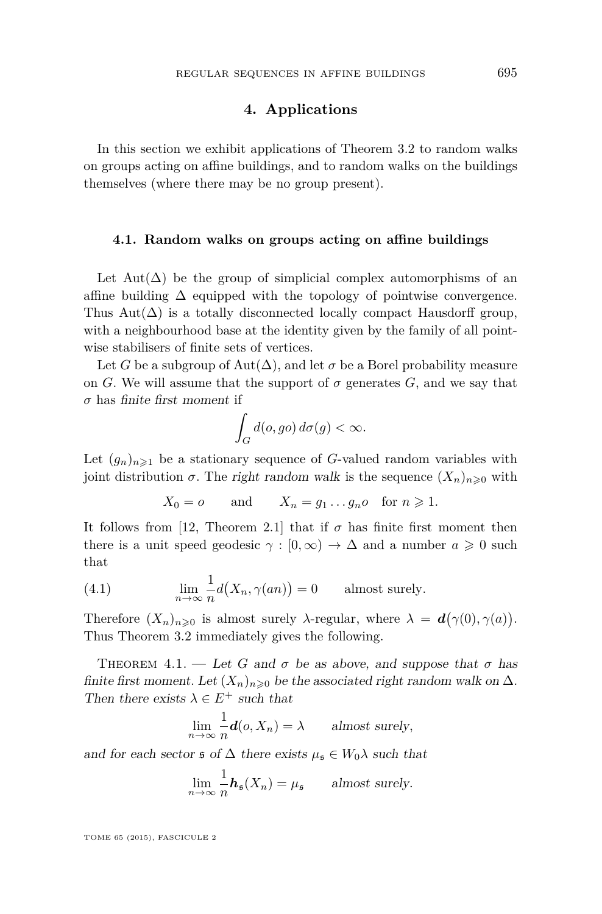#### **4. Applications**

<span id="page-21-0"></span>In this section we exhibit applications of Theorem [3.2](#page-15-0) to random walks on groups acting on affine buildings, and to random walks on the buildings themselves (where there may be no group present).

#### **4.1. Random walks on groups acting on affine buildings**

Let Aut( $\Delta$ ) be the group of simplicial complex automorphisms of an affine building  $\Delta$  equipped with the topology of pointwise convergence. Thus Aut( $\Delta$ ) is a totally disconnected locally compact Hausdorff group, with a neighbourhood base at the identity given by the family of all pointwise stabilisers of finite sets of vertices.

Let *G* be a subgroup of Aut( $\Delta$ ), and let  $\sigma$  be a Borel probability measure on *G*. We will assume that the support of  $\sigma$  generates *G*, and we say that *σ* has finite first moment if

$$
\int_G d(o, go) d\sigma(g) < \infty.
$$

Let  $(g_n)_{n\geq 1}$  be a stationary sequence of *G*-valued random variables with joint distribution  $\sigma$ . The right random walk is the sequence  $(X_n)_{n\geqslant0}$  with

$$
X_0 = o
$$
 and  $X_n = g_1 \dots g_n o$  for  $n \ge 1$ .

It follows from [\[12,](#page-32-0) Theorem 2.1] that if  $\sigma$  has finite first moment then there is a unit speed geodesic  $\gamma : [0, \infty) \to \Delta$  and a number  $a \geq 0$  such that

(4.1) 
$$
\lim_{n \to \infty} \frac{1}{n} d(X_n, \gamma(an)) = 0 \quad \text{almost surely.}
$$

Therefore  $(X_n)_{n\geqslant0}$  is almost surely  $\lambda$ -regular, where  $\lambda = d(\gamma(0), \gamma(a))$ . Thus Theorem [3.2](#page-15-0) immediately gives the following.

THEOREM 4.1. — Let G and  $\sigma$  be as above, and suppose that  $\sigma$  has finite first moment. Let  $(X_n)_{n\geq 0}$  be the associated right random walk on  $\Delta$ . Then there exists  $\lambda \in E^+$  such that

$$
\lim_{n \to \infty} \frac{1}{n} \mathbf{d}(o, X_n) = \lambda \quad \text{almost surely},
$$

and for each sector  $\mathfrak{s}$  of  $\Delta$  there exists  $\mu_{\mathfrak{s}} \in W_0 \lambda$  such that

$$
\lim_{n \to \infty} \frac{1}{n} \mathbf{h}_{\mathfrak{s}}(X_n) = \mu_{\mathfrak{s}} \quad \text{almost surely.}
$$

TOME 65 (2015), FASCICULE 2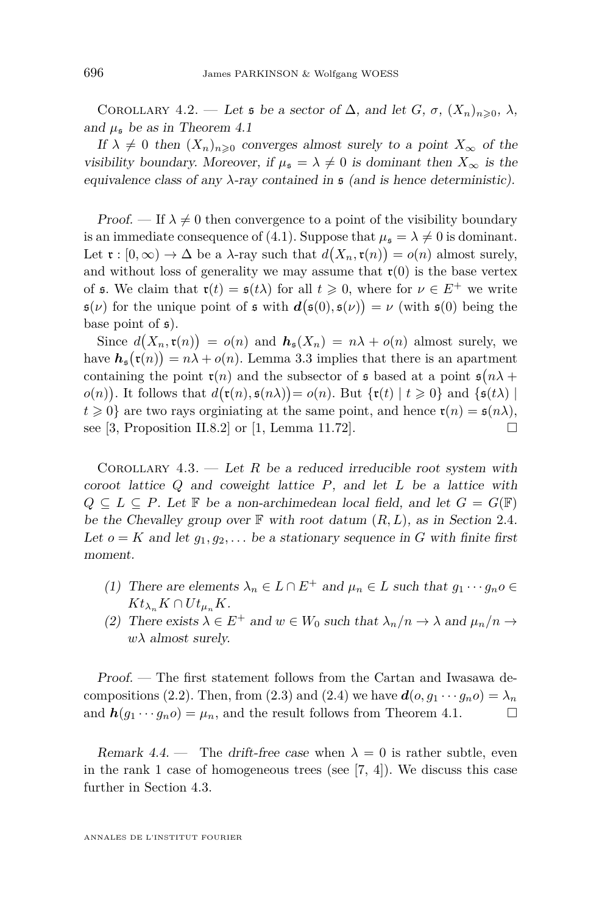<span id="page-22-0"></span>COROLLARY 4.2. — Let **s** be a sector of  $\Delta$ , and let  $G$ ,  $\sigma$ ,  $(X_n)_{n\geqslant0}$ ,  $\lambda$ , and  $\mu_{\rm s}$  be as in Theorem [4.1](#page-21-0)

If  $\lambda \neq 0$  then  $(X_n)_{n\geq 0}$  converges almost surely to a point  $X_\infty$  of the visibility boundary. Moreover, if  $\mu_{\mathfrak{s}} = \lambda \neq 0$  is dominant then  $X_{\infty}$  is the equivalence class of any  $\lambda$ -ray contained in  $\frak{s}$  (and is hence deterministic).

Proof. — If  $\lambda \neq 0$  then convergence to a point of the visibility boundary is an immediate consequence of [\(4.1\)](#page-21-0). Suppose that  $\mu_{\mathfrak{s}} = \lambda \neq 0$  is dominant. Let  $\mathfrak{r}: [0, \infty) \to \Delta$  be a  $\lambda$ -ray such that  $d(X_n, \mathfrak{r}(n)) = o(n)$  almost surely, and without loss of generality we may assume that  $\mathfrak{r}(0)$  is the base vertex of **s**. We claim that  $\mathbf{r}(t) = \mathbf{s}(t\lambda)$  for all  $t \geq 0$ , where for  $\nu \in E^+$  we write  $\mathfrak{s}(\nu)$  for the unique point of  $\mathfrak{s}$  with  $d(\mathfrak{s}(0), \mathfrak{s}(\nu)) = \nu$  (with  $\mathfrak{s}(0)$  being the base point of  $\mathfrak{s}$ ).

Since  $d(X_n, \mathfrak{r}(n)) = o(n)$  and  $h_{\mathfrak{s}}(X_n) = n\lambda + o(n)$  almost surely, we have  $h_{\mathfrak{s}}(\mathfrak{r}(n)) = n\lambda + o(n)$ . Lemma [3.3](#page-16-0) implies that there is an apartment containing the point  $\mathfrak{r}(n)$  and the subsector of  $\mathfrak s$  based at a point  $\mathfrak s(n\lambda)$  $o(n)$ ). It follows that  $d(\mathfrak{r}(n), \mathfrak{s}(n\lambda)) = o(n)$ . But  ${\mathfrak{r}(t) | t \geq 0}$  and  ${\mathfrak{s}(t\lambda) | t \geq 0}$  $t \geq 0$ } are two rays orginiating at the same point, and hence  $\mathfrak{r}(n) = \mathfrak{s}(n\lambda)$ , see [\[3,](#page-31-0) Proposition II.8.2] or [\[1,](#page-31-0) Lemma 11.72].

COROLLARY  $4.3.$  — Let R be a reduced irreducible root system with coroot lattice *Q* and coweight lattice *P*, and let *L* be a lattice with  $Q \subseteq L \subseteq P$ . Let **F** be a non-archimedean local field, and let  $G = G(\mathbb{F})$ be the Chevalley group over  $\mathbb F$  with root datum  $(R, L)$ , as in Section [2.4](#page-13-0). Let  $o = K$  and let  $g_1, g_2, \ldots$  be a stationary sequence in *G* with finite first moment.

- (1) There are elements  $\lambda_n \in L \cap E^+$  and  $\mu_n \in L$  such that  $g_1 \cdots g_n o \in L$  $Kt_{\lambda_n} K \cap Ut_{\mu_n} K$ .
- (2) There exists  $\lambda \in E^+$  and  $w \in W_0$  such that  $\lambda_n/n \to \lambda$  and  $\mu_n/n \to$  $w\lambda$  almost surely.

Proof. — The first statement follows from the Cartan and Iwasawa de-compositions [\(2.2\)](#page-13-0). Then, from [\(2.3\)](#page-13-0) and [\(2.4\)](#page-13-0) we have  $d(o, q_1 \cdots q_n o) = \lambda_n$ and  $h(g_1 \cdots g_n o) = \mu_n$ , and the result follows from Theorem [4.1.](#page-21-0)

Remark 4.4. — The drift-free case when  $\lambda = 0$  is rather subtle, even in the rank 1 case of homogeneous trees (see [\[7,](#page-32-0) [4\]](#page-32-0)). We discuss this case further in Section [4.3.](#page-25-0)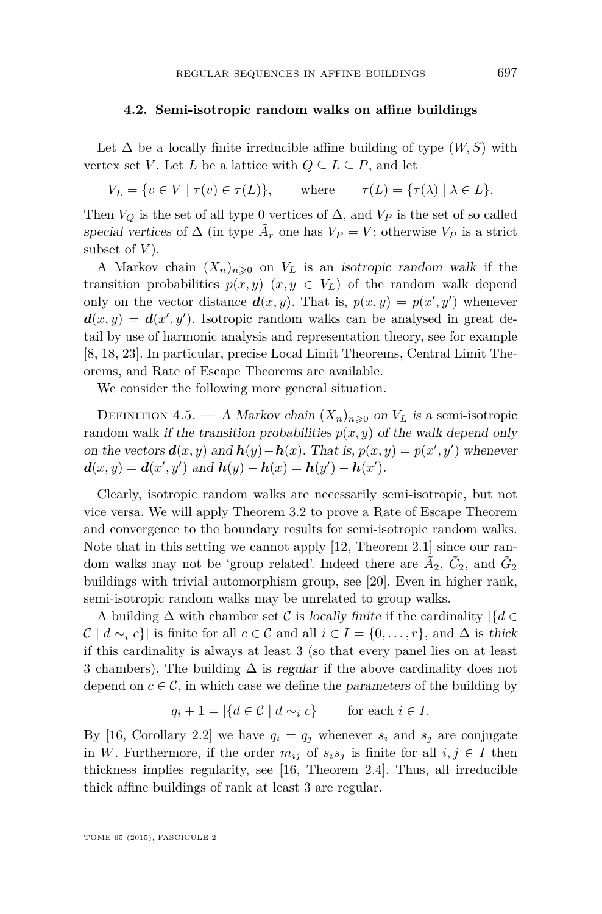#### **4.2. Semi-isotropic random walks on affine buildings**

Let  $\Delta$  be a locally finite irreducible affine building of type  $(W, S)$  with vertex set *V*. Let *L* be a lattice with  $Q \subseteq L \subseteq P$ , and let

 $V_L = \{ v \in V \mid \tau(v) \in \tau(L) \}, \qquad \text{where} \qquad \tau(L) = \{ \tau(\lambda) \mid \lambda \in L \}.$ 

Then  $V_Q$  is the set of all type 0 vertices of  $\Delta$ , and  $V_P$  is the set of so called special vertices of  $\Delta$  (in type  $\tilde{A}_r$  one has  $V_P = V$ ; otherwise  $V_P$  is a strict subset of  $V$ ).

A Markov chain  $(X_n)_{n\geqslant0}$  on  $V_L$  is an *isotropic random walk* if the transition probabilities  $p(x, y)$   $(x, y \in V_L)$  of the random walk depend only on the vector distance  $d(x, y)$ . That is,  $p(x, y) = p(x', y')$  whenever  $d(x, y) = d(x', y')$ . Isotropic random walks can be analysed in great detail by use of harmonic analysis and representation theory, see for example [\[8,](#page-32-0) [18,](#page-32-0) [23\]](#page-32-0). In particular, precise Local Limit Theorems, Central Limit Theorems, and Rate of Escape Theorems are available.

We consider the following more general situation.

DEFINITION 4.5. — A Markov chain  $(X_n)_{n\geqslant 0}$  on  $V_L$  is a semi-isotropic random walk if the transition probabilities  $p(x, y)$  of the walk depend only on the vectors  $\mathbf{d}(x, y)$  and  $\mathbf{h}(y) - \mathbf{h}(x)$ . That is,  $p(x, y) = p(x', y')$  whenever  $d(x, y) = d(x', y')$  and  $h(y) - h(x) = h(y') - h(x')$ .

Clearly, isotropic random walks are necessarily semi-isotropic, but not vice versa. We will apply Theorem [3.2](#page-15-0) to prove a Rate of Escape Theorem and convergence to the boundary results for semi-isotropic random walks. Note that in this setting we cannot apply [\[12,](#page-32-0) Theorem 2.1] since our random walks may not be 'group related'. Indeed there are  $\tilde{A}_2$ ,  $\tilde{C}_2$ , and  $\tilde{G}_2$ buildings with trivial automorphism group, see [\[20\]](#page-32-0). Even in higher rank, semi-isotropic random walks may be unrelated to group walks.

A building  $\Delta$  with chamber set C is locally finite if the cardinality |{ $d \in$  $\mathcal{C} \mid d \sim_i c$  is finite for all  $c \in \mathcal{C}$  and all  $i \in I = \{0, \ldots, r\}$ , and  $\Delta$  is thick if this cardinality is always at least 3 (so that every panel lies on at least 3 chambers). The building  $\Delta$  is regular if the above cardinality does not depend on  $c \in \mathcal{C}$ , in which case we define the parameters of the building by

$$
q_i + 1 = |\{d \in \mathcal{C} \mid d \sim_i c\}| \quad \text{for each } i \in I.
$$

By [\[16,](#page-32-0) Corollary 2.2] we have  $q_i = q_j$  whenever  $s_i$  and  $s_j$  are conjugate in *W*. Furthermore, if the order  $m_{ij}$  of  $s_i s_j$  is finite for all  $i, j \in I$  then thickness implies regularity, see [\[16,](#page-32-0) Theorem 2.4]. Thus, all irreducible thick affine buildings of rank at least 3 are regular.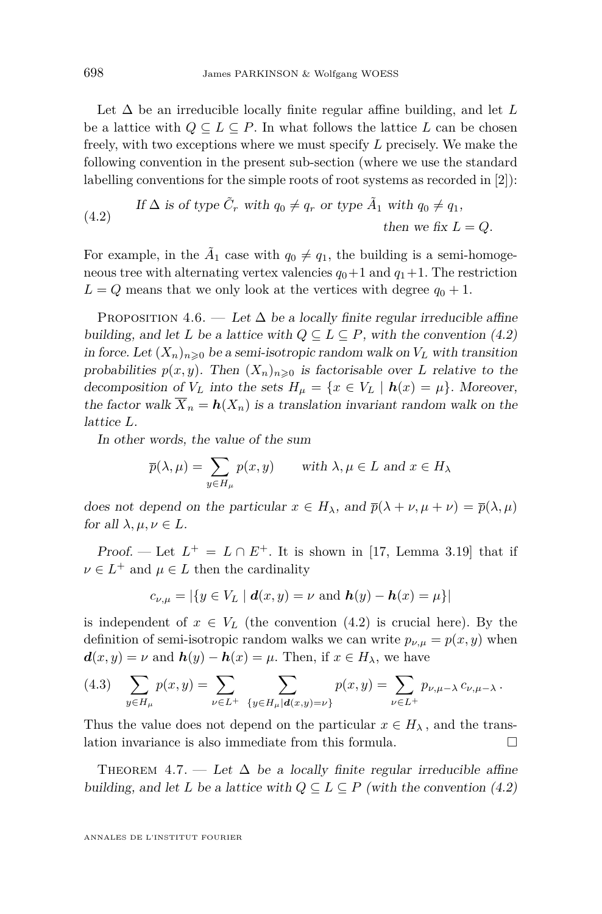<span id="page-24-0"></span>Let ∆ be an irreducible locally finite regular affine building, and let *L* be a lattice with  $Q \subseteq L \subseteq P$ . In what follows the lattice *L* can be chosen freely, with two exceptions where we must specify *L* precisely. We make the following convention in the present sub-section (where we use the standard labelling conventions for the simple roots of root systems as recorded in [\[2\]](#page-31-0)):

(4.2) If 
$$
\Delta
$$
 is of type  $\tilde{C}_r$  with  $q_0 \neq q_r$  or type  $\tilde{A}_1$  with  $q_0 \neq q_1$ ,  
then we fix  $L = Q$ .

For example, in the  $\tilde{A}_1$  case with  $q_0 \neq q_1$ , the building is a semi-homogeneous tree with alternating vertex valencies  $q_0+1$  and  $q_1+1$ . The restriction  $L = Q$  means that we only look at the vertices with degree  $q_0 + 1$ .

PROPOSITION 4.6. — Let  $\Delta$  be a locally finite regular irreducible affine building, and let *L* be a lattice with  $Q \subseteq L \subseteq P$ , with the convention (4.2) in force. Let  $(X_n)_{n\geq 0}$  be a semi-isotropic random walk on  $V_L$  with transition probabilities  $p(x, y)$ . Then  $(X_n)_{n \geq 0}$  is factorisable over *L* relative to the decomposition of  $V_L$  into the sets  $H_\mu = \{x \in V_L \mid \mathbf{h}(x) = \mu\}$ . Moreover, the factor walk  $\overline{X}_n = h(X_n)$  is a translation invariant random walk on the lattice *L*.

In other words, the value of the sum

$$
\overline{p}(\lambda,\mu) = \sum_{y \in H_{\mu}} p(x,y) \quad \text{with } \lambda, \mu \in L \text{ and } x \in H_{\lambda}
$$

does not depend on the particular  $x \in H_{\lambda}$ , and  $\overline{p}(\lambda + \nu, \mu + \nu) = \overline{p}(\lambda, \mu)$ for all  $\lambda, \mu, \nu \in L$ .

Proof. — Let  $L^+ = L \cap E^+$ . It is shown in [\[17,](#page-32-0) Lemma 3.19] that if  $\nu \in L^+$  and  $\mu \in L$  then the cardinality

$$
c_{\nu,\mu} = |\{y \in V_L \mid \mathbf{d}(x,y) = \nu \text{ and } \mathbf{h}(y) - \mathbf{h}(x) = \mu\}|
$$

is independent of  $x \in V_L$  (the convention  $(4.2)$  is crucial here). By the definition of semi-isotropic random walks we can write  $p_{\nu,\mu} = p(x, y)$  when  $d(x, y) = \nu$  and  $h(y) - h(x) = \mu$ . Then, if  $x \in H_\lambda$ , we have

$$
(4.3) \quad \sum_{y \in H_{\mu}} p(x, y) = \sum_{\nu \in L^{+}} \sum_{\{y \in H_{\mu} | d(x, y) = \nu\}} p(x, y) = \sum_{\nu \in L^{+}} p_{\nu, \mu - \lambda} c_{\nu, \mu - \lambda}.
$$

Thus the value does not depend on the particular  $x \in H_{\lambda}$ , and the translation invariance is also immediate from this formula.

THEOREM 4.7. — Let  $\Delta$  be a locally finite regular irreducible affine building, and let *L* be a lattice with  $Q \subseteq L \subseteq P$  (with the convention (4.2)

ANNALES DE L'INSTITUT FOURIER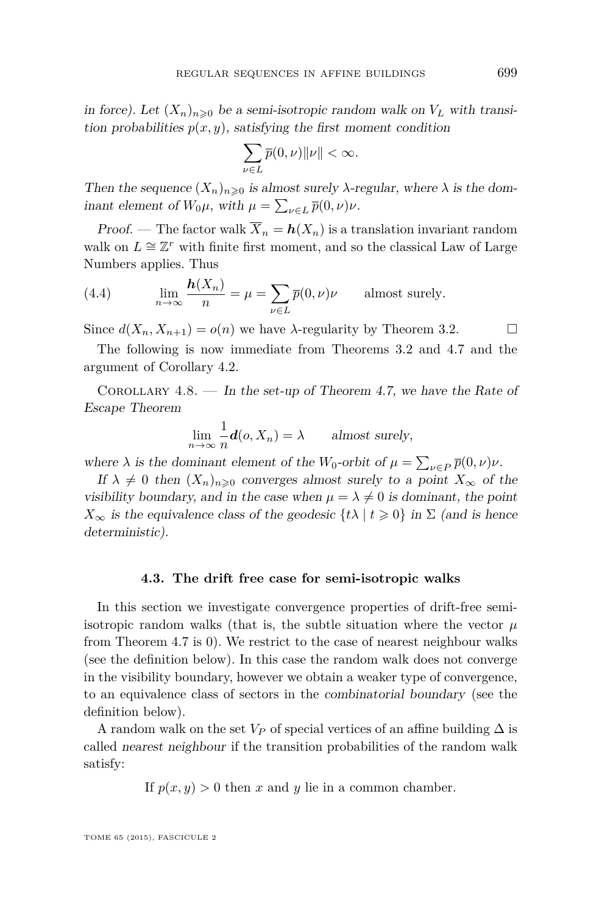<span id="page-25-0"></span>in force). Let  $(X_n)_{n\geq 0}$  be a semi-isotropic random walk on  $V_L$  with transition probabilities  $p(x, y)$ , satisfying the first moment condition

$$
\sum_{\nu \in L} \overline{p}(0,\nu) ||\nu|| < \infty.
$$

Then the sequence  $(X_n)_{n\geqslant 0}$  is almost surely  $\lambda$ -regular, where  $\lambda$  is the dominant element of  $W_0\mu$ , with  $\mu = \sum_{\nu \in L} \bar{p}(0, \nu)\nu$ .

Proof. — The factor walk  $\overline{X}_n = h(X_n)$  is a translation invariant random walk on  $L \cong \mathbb{Z}^r$  with finite first moment, and so the classical Law of Large Numbers applies. Thus

(4.4) 
$$
\lim_{n \to \infty} \frac{h(X_n)}{n} = \mu = \sum_{\nu \in L} \overline{p}(0, \nu)\nu
$$
 almost surely.

Since  $d(X_n, X_{n+1}) = o(n)$  we have  $\lambda$ -regularity by Theorem [3.2.](#page-15-0)

The following is now immediate from Theorems [3.2](#page-15-0) and [4.7](#page-24-0) and the argument of Corollary [4.2.](#page-22-0)

COROLLARY  $4.8.$  — In the set-up of Theorem [4.7,](#page-24-0) we have the Rate of Escape Theorem

$$
\lim_{n \to \infty} \frac{1}{n} \mathbf{d}(o, X_n) = \lambda \quad \text{almost surely},
$$

where  $\lambda$  is the dominant element of the *W*<sub>0</sub>-orbit of  $\mu = \sum_{\nu \in P} \bar{p}(0, \nu)\nu$ .

If  $\lambda \neq 0$  then  $(X_n)_{n\geqslant 0}$  converges almost surely to a point  $X_\infty$  of the visibility boundary, and in the case when  $\mu = \lambda \neq 0$  is dominant, the point  $X_{\infty}$  is the equivalence class of the geodesic  $\{t\lambda \mid t \geq 0\}$  in  $\Sigma$  (and is hence deterministic).

#### **4.3. The drift free case for semi-isotropic walks**

In this section we investigate convergence properties of drift-free semiisotropic random walks (that is, the subtle situation where the vector  $\mu$ from Theorem [4.7](#page-24-0) is 0). We restrict to the case of nearest neighbour walks (see the definition below). In this case the random walk does not converge in the visibility boundary, however we obtain a weaker type of convergence, to an equivalence class of sectors in the combinatorial boundary (see the definition below).

A random walk on the set  $V_P$  of special vertices of an affine building  $\Delta$  is called nearest neighbour if the transition probabilities of the random walk satisfy:

If  $p(x, y) > 0$  then *x* and *y* lie in a common chamber.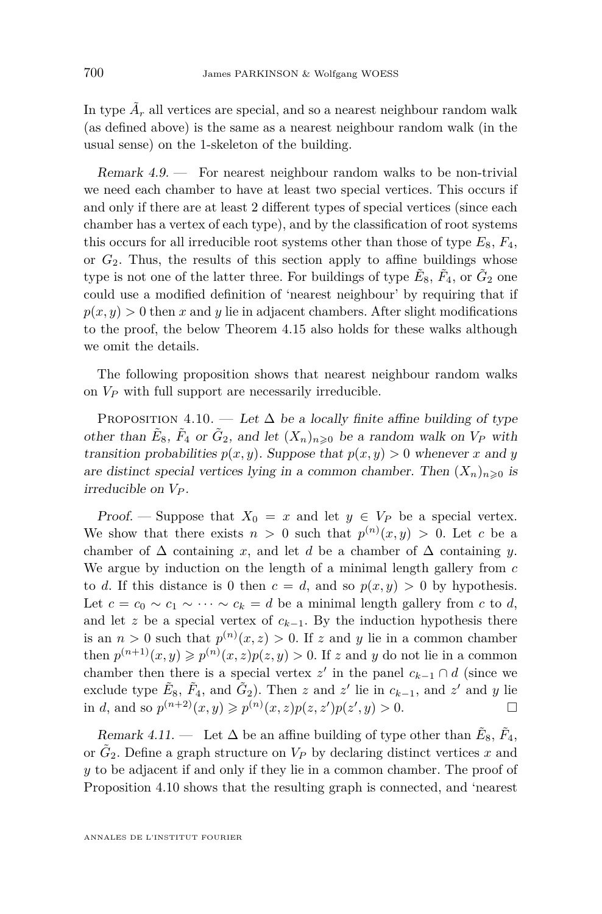In type  $\tilde{A}_r$  all vertices are special, and so a nearest neighbour random walk (as defined above) is the same as a nearest neighbour random walk (in the usual sense) on the 1-skeleton of the building.

Remark 4.9. — For nearest neighbour random walks to be non-trivial we need each chamber to have at least two special vertices. This occurs if and only if there are at least 2 different types of special vertices (since each chamber has a vertex of each type), and by the classification of root systems this occurs for all irreducible root systems other than those of type  $E_8$ ,  $F_4$ , or  $G_2$ . Thus, the results of this section apply to affine buildings whose type is not one of the latter three. For buildings of type  $\tilde{E}_8$ ,  $\tilde{F}_4$ , or  $\tilde{G}_2$  one could use a modified definition of 'nearest neighbour' by requiring that if  $p(x, y) > 0$  then *x* and *y* lie in adjacent chambers. After slight modifications to the proof, the below Theorem [4.15](#page-28-0) also holds for these walks although we omit the details.

The following proposition shows that nearest neighbour random walks on *V<sup>P</sup>* with full support are necessarily irreducible.

PROPOSITION 4.10. — Let  $\Delta$  be a locally finite affine building of type other than  $\tilde{E}_8$ ,  $\tilde{F}_4$  or  $\tilde{G}_2$ , and let  $(X_n)_{n\geqslant 0}$  be a random walk on  $V_P$  with transition probabilities  $p(x, y)$ . Suppose that  $p(x, y) > 0$  whenever *x* and *y* are distinct special vertices lying in a common chamber. Then  $(X_n)_{n\geq 0}$  is irreducible on *V<sup>P</sup>* .

Proof. — Suppose that  $X_0 = x$  and let  $y \in V_P$  be a special vertex. We show that there exists  $n > 0$  such that  $p^{(n)}(x, y) > 0$ . Let *c* be a chamber of  $\Delta$  containing *x*, and let *d* be a chamber of  $\Delta$  containing *y*. We argue by induction on the length of a minimal length gallery from *c* to *d*. If this distance is 0 then  $c = d$ , and so  $p(x, y) > 0$  by hypothesis. Let  $c = c_0 \sim c_1 \sim \cdots \sim c_k = d$  be a minimal length gallery from *c* to *d*, and let *z* be a special vertex of  $c_{k-1}$ . By the induction hypothesis there is an  $n > 0$  such that  $p^{(n)}(x, z) > 0$ . If z and y lie in a common chamber then  $p^{(n+1)}(x, y) \geq p^{(n)}(x, z)p(z, y) > 0$ . If *z* and *y* do not lie in a common chamber then there is a special vertex  $z'$  in the panel  $c_{k-1} \cap d$  (since we exclude type  $\tilde{E}_8$ ,  $\tilde{F}_4$ , and  $\tilde{G}_2$ ). Then *z* and *z'* lie in  $c_{k-1}$ , and *z'* and *y* lie in *d*, and so  $p^{(n+2)}(x, y) \geq p^{(n)}(x, z)p(z, z')p(z', y) > 0.$ 

Remark 4.11. — Let  $\Delta$  be an affine building of type other than  $\tilde{E}_8$ ,  $\tilde{F}_4$ , or  $\tilde{G}_2$ . Define a graph structure on  $V_P$  by declaring distinct vertices  $x$  and *y* to be adjacent if and only if they lie in a common chamber. The proof of Proposition 4.10 shows that the resulting graph is connected, and 'nearest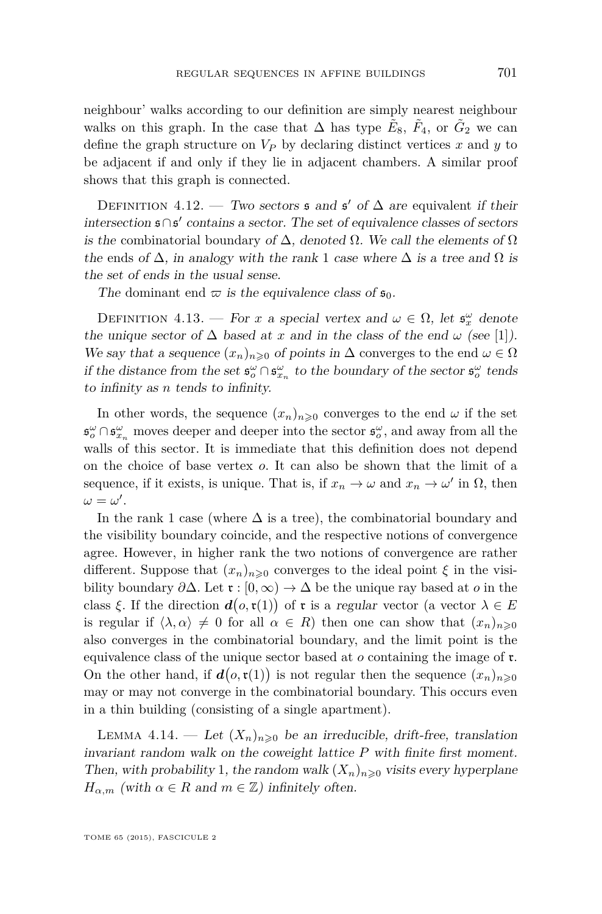<span id="page-27-0"></span>neighbour' walks according to our definition are simply nearest neighbour walks on this graph. In the case that  $\Delta$  has type  $\tilde{E}_8$ ,  $\tilde{F}_4$ , or  $\tilde{G}_2$  we can define the graph structure on  $V_P$  by declaring distinct vertices  $x$  and  $y$  to be adjacent if and only if they lie in adjacent chambers. A similar proof shows that this graph is connected.

DEFINITION 4.12. — Two sectors  $\mathfrak s$  and  $\mathfrak s'$  of  $\Delta$  are equivalent if their intersection s∩s 0 contains a sector. The set of equivalence classes of sectors is the combinatorial boundary of  $\Delta$ , denoted  $\Omega$ . We call the elements of  $\Omega$ the ends of  $\Delta$ , in analogy with the rank 1 case where  $\Delta$  is a tree and  $\Omega$  is the set of ends in the usual sense.

The dominant end  $\varpi$  is the equivalence class of  $\mathfrak{s}_0$ .

DEFINITION 4.13. — For *x* a special vertex and  $\omega \in \Omega$ , let  $\mathfrak{s}_x^{\omega}$  denote the unique sector of  $\Delta$  based at *x* and in the class of the end  $\omega$  (see [\[1\]](#page-31-0)). We say that a sequence  $(x_n)_{n\geq 0}$  of points in  $\Delta$  converges to the end  $\omega \in \Omega$ if the distance from the set  $\mathfrak{s}^\omega_o \cap \mathfrak{s}^\omega_{x_n}$  to the boundary of the sector  $\mathfrak{s}^\omega_o$  tends to infinity as *n* tends to infinity.

In other words, the sequence  $(x_n)_{n\geqslant 0}$  converges to the end  $\omega$  if the set  $\mathfrak{s}_o^{\omega} \cap \mathfrak{s}_{x_n}^{\omega}$  moves deeper and deeper into the sector  $\mathfrak{s}_o^{\omega}$ , and away from all the walls of this sector. It is immediate that this definition does not depend on the choice of base vertex *o*. It can also be shown that the limit of a sequence, if it exists, is unique. That is, if  $x_n \to \omega$  and  $x_n \to \omega'$  in  $\Omega$ , then  $\omega = \omega'$ .

In the rank 1 case (where  $\Delta$  is a tree), the combinatorial boundary and the visibility boundary coincide, and the respective notions of convergence agree. However, in higher rank the two notions of convergence are rather different. Suppose that  $(x_n)_{n\geq 0}$  converges to the ideal point  $\xi$  in the visibility boundary  $\partial \Delta$ . Let  $\mathfrak{r} : [0, \infty) \to \Delta$  be the unique ray based at *o* in the class  $\xi$ . If the direction  $d(o, \mathfrak{r}(1))$  of  $\mathfrak{r}$  is a regular vector (a vector  $\lambda \in E$ is regular if  $\langle \lambda, \alpha \rangle \neq 0$  for all  $\alpha \in R$ ) then one can show that  $(x_n)_{n \geq 0}$ also converges in the combinatorial boundary, and the limit point is the equivalence class of the unique sector based at *o* containing the image of r. On the other hand, if  $d(o, \mathfrak{r}(1))$  is not regular then the sequence  $(x_n)_{n\geqslant 0}$ may or may not converge in the combinatorial boundary. This occurs even in a thin building (consisting of a single apartment).

LEMMA 4.14. — Let  $(X_n)_{n\geqslant 0}$  be an irreducible, drift-free, translation invariant random walk on the coweight lattice *P* with finite first moment. Then, with probability 1, the random walk  $(X_n)_{n\geqslant0}$  visits every hyperplane *H*<sub>α,*m*</sub> (with  $\alpha \in R$  and  $m \in \mathbb{Z}$ ) infinitely often.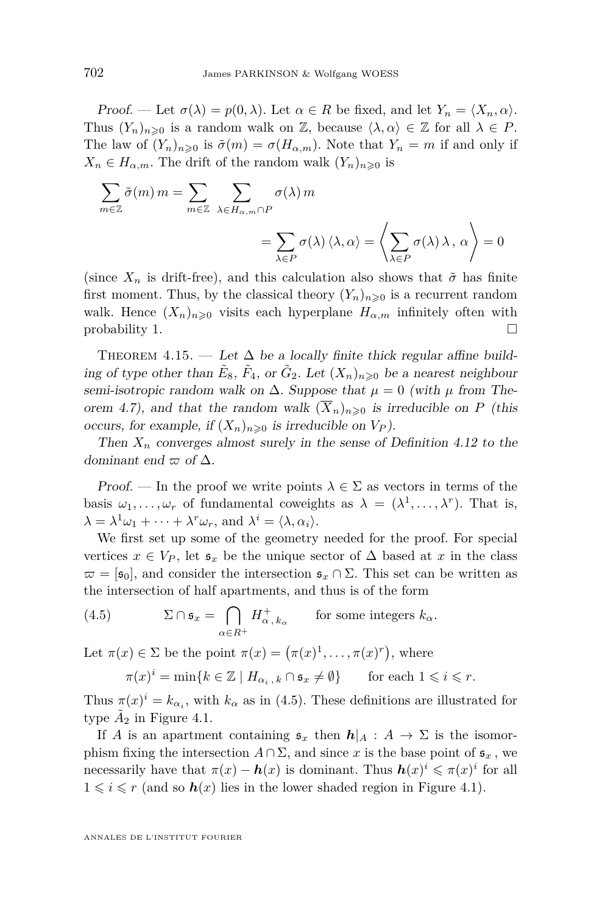<span id="page-28-0"></span>Proof. — Let  $\sigma(\lambda) = p(0, \lambda)$ . Let  $\alpha \in R$  be fixed, and let  $Y_n = \langle X_n, \alpha \rangle$ . Thus  $(Y_n)_{n\geq 0}$  is a random walk on Z, because  $\langle \lambda, \alpha \rangle \in \mathbb{Z}$  for all  $\lambda \in P$ . The law of  $(Y_n)_{n\geqslant 0}$  is  $\tilde{\sigma}(m) = \sigma(H_{\alpha,m})$ . Note that  $Y_n = m$  if and only if  $X_n \in H_{\alpha,m}$ . The drift of the random walk  $(Y_n)_{n \geq 0}$  is

$$
\sum_{m \in \mathbb{Z}} \tilde{\sigma}(m) m = \sum_{m \in \mathbb{Z}} \sum_{\lambda \in H_{\alpha,m} \cap P} \sigma(\lambda) m
$$

$$
= \sum_{\lambda \in P} \sigma(\lambda) \langle \lambda, \alpha \rangle = \left\langle \sum_{\lambda \in P} \sigma(\lambda) \lambda, \alpha \right\rangle = 0
$$

(since  $X_n$  is drift-free), and this calculation also shows that  $\tilde{\sigma}$  has finite first moment. Thus, by the classical theory  $(Y_n)_{n\geq 0}$  is a recurrent random walk. Hence  $(X_n)_{n\geqslant 0}$  visits each hyperplane  $H_{\alpha,m}$  infinitely often with  $\Box$  probability 1.

THEOREM 4.15. — Let  $\Delta$  be a locally finite thick regular affine building of type other than  $\tilde{E}_8$ ,  $\tilde{F}_4$ , or  $\tilde{G}_2$ . Let  $(X_n)_{n\geqslant 0}$  be a nearest neighbour semi-isotropic random walk on  $\Delta$ . Suppose that  $\mu = 0$  (with  $\mu$  from The-orem [4.7\)](#page-24-0), and that the random walk  $(\overline{X}_n)_{n\geq 0}$  is irreducible on P (this occurs, for example, if  $(X_n)_{n\geqslant 0}$  is irreducible on  $V_P$ ).

Then  $X_n$  converges almost surely in the sense of Definition [4.12](#page-27-0) to the dominant end  $\varpi$  of  $\Delta$ .

Proof. — In the proof we write points  $\lambda \in \Sigma$  as vectors in terms of the basis  $\omega_1, \ldots, \omega_r$  of fundamental coweights as  $\lambda = (\lambda^1, \ldots, \lambda^r)$ . That is,  $\lambda = \lambda^1 \omega_1 + \cdots + \lambda^r \omega_r$ , and  $\lambda^i = \langle \lambda, \alpha_i \rangle$ .

We first set up some of the geometry needed for the proof. For special vertices  $x \in V_P$ , let  $\mathfrak{s}_x$  be the unique sector of  $\Delta$  based at  $x$  in the class  $\bar{\omega} = [\mathfrak{s}_0]$ , and consider the intersection  $\mathfrak{s}_x \cap \Sigma$ . This set can be written as the intersection of half apartments, and thus is of the form

(4.5) 
$$
\Sigma \cap \mathfrak{s}_x = \bigcap_{\alpha \in R^+} H_{\alpha, k_\alpha}^+ \quad \text{for some integers } k_\alpha.
$$

Let  $\pi(x) \in \Sigma$  be the point  $\pi(x) = (\pi(x)^1, \ldots, \pi(x)^r)$ , where

$$
\pi(x)^i = \min\{k \in \mathbb{Z} \mid H_{\alpha_i,k} \cap \mathfrak{s}_x \neq \emptyset\} \qquad \text{for each } 1 \leqslant i \leqslant r.
$$

Thus  $\pi(x)^i = k_{\alpha_i}$ , with  $k_{\alpha}$  as in (4.5). These definitions are illustrated for type  $\tilde{A}_2$  in Figure [4.1.](#page-29-0)

If *A* is an apartment containing  $\mathfrak{s}_x$  then  $h|_A : A \to \Sigma$  is the isomorphism fixing the intersection  $A \cap \Sigma$ , and since x is the base point of  $\mathfrak{s}_x$ , we necessarily have that  $\pi(x) - h(x)$  is dominant. Thus  $h(x)^i \leq \pi(x)^i$  for all  $1 \leq i \leq r$  (and so  $h(x)$  lies in the lower shaded region in Figure [4.1\)](#page-29-0).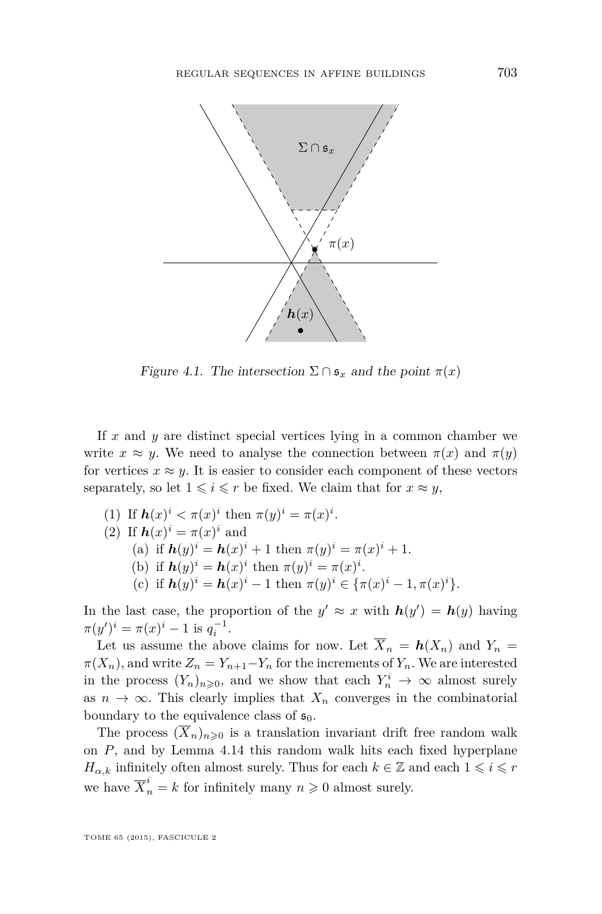<span id="page-29-0"></span>

Figure 4.1. The intersection  $\Sigma \cap \mathfrak{s}_x$  and the point  $\pi(x)$ 

If *x* and *y* are distinct special vertices lying in a common chamber we write  $x \approx y$ . We need to analyse the connection between  $\pi(x)$  and  $\pi(y)$ for vertices  $x \approx y$ . It is easier to consider each component of these vectors separately, so let  $1 \leq i \leq r$  be fixed. We claim that for  $x \approx y$ ,

(1) If 
$$
h(x)^i < \pi(x)^i
$$
 then  $\pi(y)^i = \pi(x)^i$ .

(2) If 
$$
\mathbf{h}(x)^i = \pi(x)^i
$$
 and

(a) if 
$$
h(y)^i = h(x)^i + 1
$$
 then  $\pi(y)^i = \pi(x)^i + 1$ .

(b) if  $h(y)^i = h(x)^i$  then  $\pi(y)^i = \pi(x)^i$ .

(c) if 
$$
h(y)^i = h(x)^i - 1
$$
 then  $\pi(y)^i \in {\pi(x)^i - 1, \pi(x)^i}$ .

In the last case, the proportion of the  $y' \approx x$  with  $h(y') = h(y)$  having  $\pi(y')^i = \pi(x)^i - 1$  is  $q_i^{-1}$ .

Let us assume the above claims for now. Let  $\overline{X}_n = h(X_n)$  and  $Y_n =$  $\pi(X_n)$ , and write  $Z_n = Y_{n+1} - Y_n$  for the increments of  $Y_n$ . We are interested in the process  $(Y_n)_{n\geqslant0}$ , and we show that each  $Y_n^i \to \infty$  almost surely as  $n \to \infty$ . This clearly implies that  $X_n$  converges in the combinatorial boundary to the equivalence class of  $\mathfrak{s}_0$ .

The process  $(\overline{X}_n)_{n\geq 0}$  is a translation invariant drift free random walk on *P*, and by Lemma [4.14](#page-27-0) this random walk hits each fixed hyperplane *H*<sub>α,k</sub> infinitely often almost surely. Thus for each  $k \in \mathbb{Z}$  and each  $1 \leq i \leq r$ we have  $\overline{X}_n^i = k$  for infinitely many  $n \geqslant 0$  almost surely.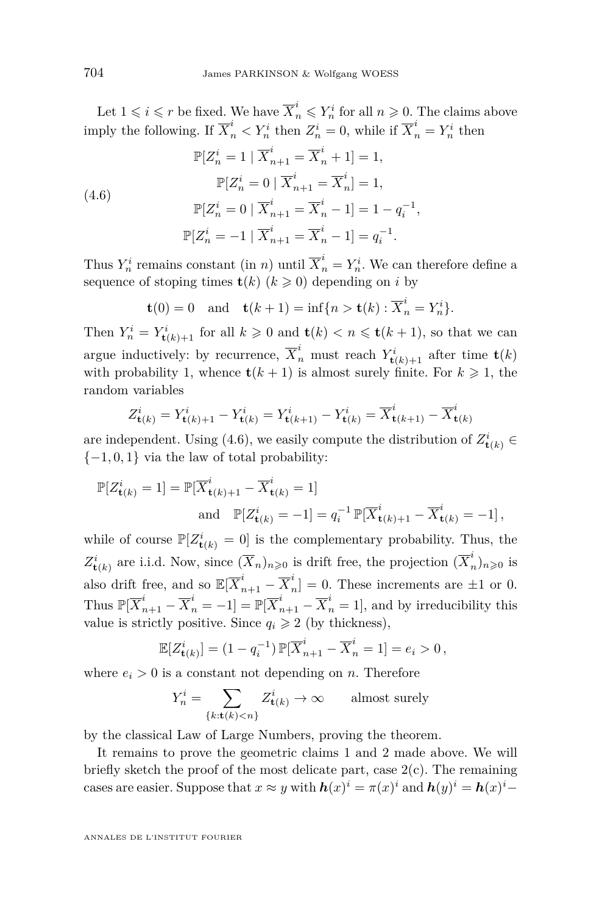Let  $1 \leq i \leq r$  be fixed. We have  $\overline{X}_n^i \leq Y_n^i$  for all  $n \geq 0$ . The claims above imply the following. If  $\overline{X}_n^i < Y_n^i$  then  $Z_n^i = 0$ , while if  $\overline{X}_n^i = Y_n^i$  then

(4.6)  
\n
$$
\mathbb{P}[Z_n^i = 1 | \overline{X}_{n+1}^i = \overline{X}_n^i + 1] = 1,
$$
\n
$$
\mathbb{P}[Z_n^i = 0 | \overline{X}_{n+1}^i = \overline{X}_n^i] = 1,
$$
\n
$$
\mathbb{P}[Z_n^i = 0 | \overline{X}_{n+1}^i = \overline{X}_n^i - 1] = 1 - q_i^{-1},
$$
\n
$$
\mathbb{P}[Z_n^i = -1 | \overline{X}_{n+1}^i = \overline{X}_n^i - 1] = q_i^{-1}.
$$

Thus  $Y_n^i$  remains constant (in *n*) until  $\overline{X}_n^i = Y_n^i$ . We can therefore define a sequence of stoping times  $\mathbf{t}(k)$  ( $k \geq 0$ ) depending on *i* by

$$
\mathbf{t}(0) = 0 \quad \text{and} \quad \mathbf{t}(k+1) = \inf\{n > \mathbf{t}(k) : \overline{X}_n^i = Y_n^i\}.
$$

Then  $Y_n^i = Y_{\mathbf{t}(k)+1}^i$  for all  $k \geq 0$  and  $\mathbf{t}(k) < n \leq \mathbf{t}(k+1)$ , so that we can argue inductively: by recurrence,  $\overline{X}_n^i$  must reach  $Y_{\mathbf{t}(k)+1}^i$  after time  $\mathbf{t}(k)$ with probability 1, whence  $\mathbf{t}(k+1)$  is almost surely finite. For  $k \geq 1$ , the random variables

$$
Z_{\mathbf{t}(k)}^i = Y_{\mathbf{t}(k)+1}^i - Y_{\mathbf{t}(k)}^i = Y_{\mathbf{t}(k+1)}^i - Y_{\mathbf{t}(k)}^i = \overline{X}_{\mathbf{t}(k+1)}^i - \overline{X}_{\mathbf{t}(k)}^i
$$

are independent. Using (4.6), we easily compute the distribution of  $Z_{\mathbf{t}(k)}^{i} \in$  $\{-1, 0, 1\}$  via the law of total probability:

$$
\mathbb{P}[Z_{\mathbf{t}(k)}^i = 1] = \mathbb{P}[\overline{X}_{\mathbf{t}(k)+1}^i - \overline{X}_{\mathbf{t}(k)}^i = 1]
$$
  
and 
$$
\mathbb{P}[Z_{\mathbf{t}(k)}^i = -1] = q_i^{-1} \mathbb{P}[\overline{X}_{\mathbf{t}(k)+1}^i - \overline{X}_{\mathbf{t}(k)}^i = -1],
$$

while of course  $\mathbb{P}[Z_{\mathbf{t}(k)}^i = 0]$  is the complementary probability. Thus, the  $Z_{\mathbf{t}(k)}^{i}$  are i.i.d. Now, since  $(\overline{X}_{n})_{n\geqslant0}$  is drift free, the projection  $(\overline{X}_{n}^{i})$  $\binom{n}{n}$ <sub>n</sub> $\geqslant$ <sup>0</sup> is also drift free, and so  $\mathbb{E}[X_{n+1}^i - \overline{X}_n^i]$  $n \choose n$  = 0. These increments are  $\pm 1$  or 0. Thus  $\mathbb{P}[\overline{X}_{n+1}^i - \overline{X}_n^i = -1] = \mathbb{P}[\overline{X}_{n+1}^i - \overline{X}_n^i = 1]$ , and by irreducibility this value is strictly positive. Since  $q_i \geq 2$  (by thickness),

$$
\mathbb{E}[Z_{\mathbf{t}(k)}^i] = (1 - q_i^{-1}) \, \mathbb{P}[\overline{X}_{n+1}^i - \overline{X}_n^i = 1] = e_i > 0 \,,
$$

where  $e_i > 0$  is a constant not depending on *n*. Therefore

$$
Y_n^i = \sum_{\{k: \mathbf{t}(k) < n\}} Z_{\mathbf{t}(k)}^i \to \infty \qquad \text{almost surely}
$$

by the classical Law of Large Numbers, proving the theorem.

It remains to prove the geometric claims 1 and 2 made above. We will briefly sketch the proof of the most delicate part, case  $2(c)$ . The remaining cases are easier. Suppose that  $x \approx y$  with  $h(x)^i = \pi(x)^i$  and  $h(y)^i = h(x)^i$ 

ANNALES DE L'INSTITUT FOURIER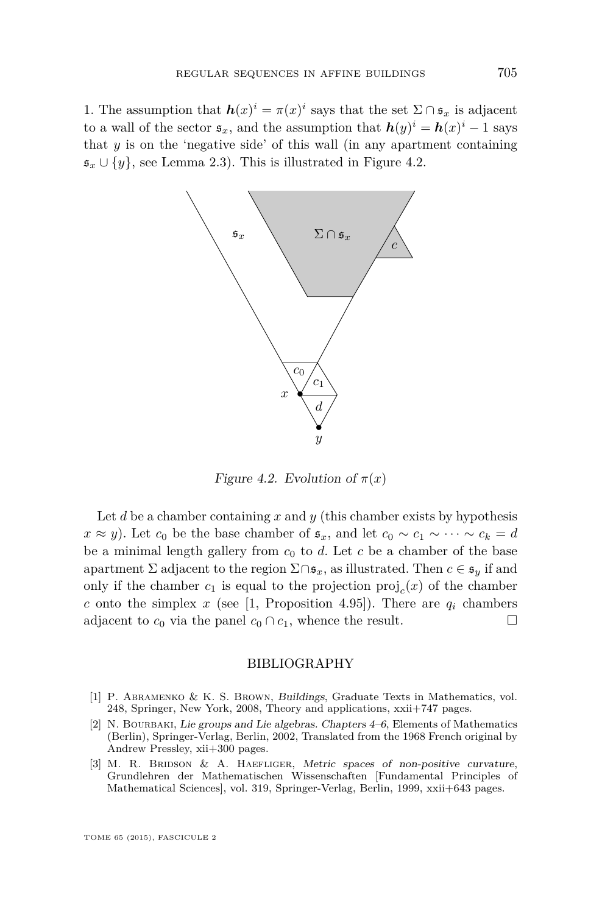<span id="page-31-0"></span>1. The assumption that  $h(x)^i = \pi(x)^i$  says that the set  $\Sigma \cap \mathfrak{s}_x$  is adjacent to a wall of the sector  $\mathfrak{s}_x$ , and the assumption that  $h(y)^i = h(x)^i - 1$  says that *y* is on the 'negative side' of this wall (in any apartment containing  $\mathfrak{s}_x \cup \{y\}$ , see Lemma [2.3\)](#page-10-0). This is illustrated in Figure 4.2.



Figure 4.2. Evolution of  $\pi(x)$ 

Let *d* be a chamber containing *x* and *y* (this chamber exists by hypothesis *x* ≈ *y*). Let *c*<sup>0</sup> be the base chamber of  $\mathfrak{s}_x$ , and let  $c_0 \sim c_1 \sim \cdots \sim c_k = d$ be a minimal length gallery from  $c_0$  to  $d$ . Let  $c$  be a chamber of the base apartment  $\Sigma$  adjacent to the region  $\Sigma \cap \mathfrak{s}_x$ , as illustrated. Then  $c \in \mathfrak{s}_y$  if and only if the chamber  $c_1$  is equal to the projection  $\text{proj}_c(x)$  of the chamber *c* onto the simplex *x* (see [1, Proposition 4.95]). There are  $q_i$  chambers adjacent to  $c_0$  via the panel  $c_0 \cap c_1$ , whence the result.

#### BIBLIOGRAPHY

- [1] P. Abramenko & K. S. Brown, Buildings, Graduate Texts in Mathematics, vol. 248, Springer, New York, 2008, Theory and applications, xxii+747 pages.
- [2] N. Bourbaki, Lie groups and Lie algebras. Chapters 4–6, Elements of Mathematics (Berlin), Springer-Verlag, Berlin, 2002, Translated from the 1968 French original by Andrew Pressley, xii+300 pages.
- [3] M. R. BRIDSON & A. HAEFLIGER, Metric spaces of non-positive curvature, Grundlehren der Mathematischen Wissenschaften [Fundamental Principles of Mathematical Sciences], vol. 319, Springer-Verlag, Berlin, 1999, xxii+643 pages.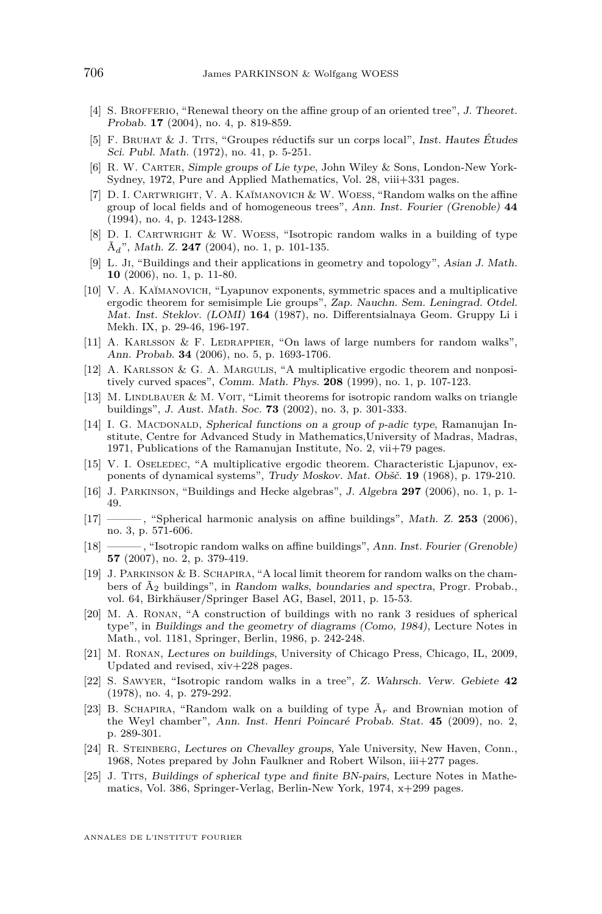- <span id="page-32-0"></span>[4] S. BROFFERIO, "Renewal theory on the affine group of an oriented tree", J. Theoret. Probab. **17** (2004), no. 4, p. 819-859.
- [5] F. Bruhat & J. Tits, "Groupes réductifs sur un corps local", Inst. Hautes Études Sci. Publ. Math. (1972), no. 41, p. 5-251.
- [6] R. W. Carter, Simple groups of Lie type, John Wiley & Sons, London-New York-Sydney, 1972, Pure and Applied Mathematics, Vol. 28, viii+331 pages.
- [7] D. I. CARTWRIGHT, V. A. KAĬMANOVICH & W. WOESS, "Random walks on the affine group of local fields and of homogeneous trees", Ann. Inst. Fourier (Grenoble) **44** (1994), no. 4, p. 1243-1288.
- [8] D. I. CARTWRIGHT & W. WOESS, "Isotropic random walks in a building of type Ã*d*", Math. Z. **247** (2004), no. 1, p. 101-135.
- [9] L. Ji, "Buildings and their applications in geometry and topology", Asian J. Math. **10** (2006), no. 1, p. 11-80.
- [10] V. A. KAĬMANOVICH, "Lyapunov exponents, symmetric spaces and a multiplicative ergodic theorem for semisimple Lie groups", Zap. Nauchn. Sem. Leningrad. Otdel. Mat. Inst. Steklov. (LOMI) **164** (1987), no. Differentsialnaya Geom. Gruppy Li i Mekh. IX, p. 29-46, 196-197.
- [11] A. KARLSSON  $&$  F. LEDRAPPIER, "On laws of large numbers for random walks", Ann. Probab. **34** (2006), no. 5, p. 1693-1706.
- [12] A. Karlsson & G. A. Margulis, "A multiplicative ergodic theorem and nonpositively curved spaces", Comm. Math. Phys. **208** (1999), no. 1, p. 107-123.
- [13] M. LINDLBAUER & M. VOIT, "Limit theorems for isotropic random walks on triangle buildings", J. Aust. Math. Soc. **73** (2002), no. 3, p. 301-333.
- [14] I. G. MACDONALD, Spherical functions on a group of *p*-adic type, Ramanujan Institute, Centre for Advanced Study in Mathematics,University of Madras, Madras, 1971, Publications of the Ramanujan Institute, No. 2, vii+79 pages.
- [15] V. I. OSELEDEC, "A multiplicative ergodic theorem. Characteristic Ljapunov, exponents of dynamical systems", Trudy Moskov. Mat. Obšč. **19** (1968), p. 179-210.
- [16] J. Parkinson, "Buildings and Hecke algebras", J. Algebra **297** (2006), no. 1, p. 1- 49.
- [17] ——— , "Spherical harmonic analysis on affine buildings", Math. Z. **253** (2006), no. 3, p. 571-606.
- [18] ——— , "Isotropic random walks on affine buildings", Ann. Inst. Fourier (Grenoble) **57** (2007), no. 2, p. 379-419.
- [19] J. Parkinson & B. Schapira, "A local limit theorem for random walks on the chambers of  $\tilde{A}_2$  buildings", in Random walks, boundaries and spectra, Progr. Probab. vol. 64, Birkhäuser/Springer Basel AG, Basel, 2011, p. 15-53.
- [20] M. A. RONAN, "A construction of buildings with no rank 3 residues of spherical type", in Buildings and the geometry of diagrams (Como, 1984), Lecture Notes in Math., vol. 1181, Springer, Berlin, 1986, p. 242-248.
- [21] M. Ronan, Lectures on buildings, University of Chicago Press, Chicago, IL, 2009, Updated and revised, xiv+228 pages.
- [22] S. Sawyer, "Isotropic random walks in a tree", Z. Wahrsch. Verw. Gebiete **42** (1978), no. 4, p. 279-292.
- [23] B. SCHAPIRA, "Random walk on a building of type  $\tilde{A}_r$  and Brownian motion of the Weyl chamber", Ann. Inst. Henri Poincaré Probab. Stat. **45** (2009), no. 2, p. 289-301.
- [24] R. Steinberg, Lectures on Chevalley groups, Yale University, New Haven, Conn., 1968, Notes prepared by John Faulkner and Robert Wilson, iii+277 pages.
- [25] J. Tits, Buildings of spherical type and finite BN-pairs, Lecture Notes in Mathematics, Vol. 386, Springer-Verlag, Berlin-New York, 1974, x+299 pages.